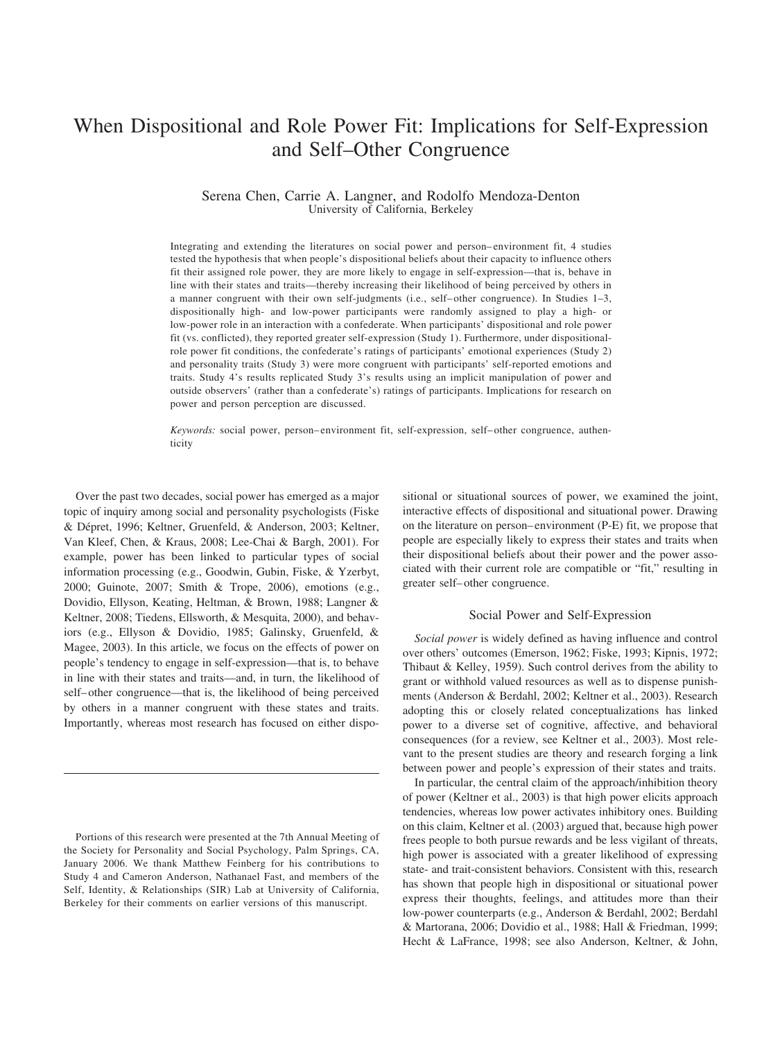# When Dispositional and Role Power Fit: Implications for Self-Expression and Self–Other Congruence

# Serena Chen, Carrie A. Langner, and Rodolfo Mendoza-Denton University of California, Berkeley

Integrating and extending the literatures on social power and person– environment fit, 4 studies tested the hypothesis that when people's dispositional beliefs about their capacity to influence others fit their assigned role power, they are more likely to engage in self-expression—that is, behave in line with their states and traits—thereby increasing their likelihood of being perceived by others in a manner congruent with their own self-judgments (i.e., self– other congruence). In Studies 1–3, dispositionally high- and low-power participants were randomly assigned to play a high- or low-power role in an interaction with a confederate. When participants' dispositional and role power fit (vs. conflicted), they reported greater self-expression (Study 1). Furthermore, under dispositionalrole power fit conditions, the confederate's ratings of participants' emotional experiences (Study 2) and personality traits (Study 3) were more congruent with participants' self-reported emotions and traits. Study 4's results replicated Study 3's results using an implicit manipulation of power and outside observers' (rather than a confederate's) ratings of participants. Implications for research on power and person perception are discussed.

*Keywords:* social power, person– environment fit, self-expression, self– other congruence, authenticity

Over the past two decades, social power has emerged as a major topic of inquiry among social and personality psychologists (Fiske & De´pret, 1996; Keltner, Gruenfeld, & Anderson, 2003; Keltner, Van Kleef, Chen, & Kraus, 2008; Lee-Chai & Bargh, 2001). For example, power has been linked to particular types of social information processing (e.g., Goodwin, Gubin, Fiske, & Yzerbyt, 2000; Guinote, 2007; Smith & Trope, 2006), emotions (e.g., Dovidio, Ellyson, Keating, Heltman, & Brown, 1988; Langner & Keltner, 2008; Tiedens, Ellsworth, & Mesquita, 2000), and behaviors (e.g., Ellyson & Dovidio, 1985; Galinsky, Gruenfeld, & Magee, 2003). In this article, we focus on the effects of power on people's tendency to engage in self-expression—that is, to behave in line with their states and traits—and, in turn, the likelihood of self– other congruence—that is, the likelihood of being perceived by others in a manner congruent with these states and traits. Importantly, whereas most research has focused on either dispo-

Portions of this research were presented at the 7th Annual Meeting of the Society for Personality and Social Psychology, Palm Springs, CA, January 2006. We thank Matthew Feinberg for his contributions to Study 4 and Cameron Anderson, Nathanael Fast, and members of the Self, Identity, & Relationships (SIR) Lab at University of California, Berkeley for their comments on earlier versions of this manuscript.

sitional or situational sources of power, we examined the joint, interactive effects of dispositional and situational power. Drawing on the literature on person– environment (P-E) fit, we propose that people are especially likely to express their states and traits when their dispositional beliefs about their power and the power associated with their current role are compatible or "fit," resulting in greater self– other congruence.

# Social Power and Self-Expression

*Social power* is widely defined as having influence and control over others' outcomes (Emerson, 1962; Fiske, 1993; Kipnis, 1972; Thibaut & Kelley, 1959). Such control derives from the ability to grant or withhold valued resources as well as to dispense punishments (Anderson & Berdahl, 2002; Keltner et al., 2003). Research adopting this or closely related conceptualizations has linked power to a diverse set of cognitive, affective, and behavioral consequences (for a review, see Keltner et al., 2003). Most relevant to the present studies are theory and research forging a link between power and people's expression of their states and traits.

In particular, the central claim of the approach/inhibition theory of power (Keltner et al., 2003) is that high power elicits approach tendencies, whereas low power activates inhibitory ones. Building on this claim, Keltner et al. (2003) argued that, because high power frees people to both pursue rewards and be less vigilant of threats, high power is associated with a greater likelihood of expressing state- and trait-consistent behaviors. Consistent with this, research has shown that people high in dispositional or situational power express their thoughts, feelings, and attitudes more than their low-power counterparts (e.g., Anderson & Berdahl, 2002; Berdahl & Martorana, 2006; Dovidio et al., 1988; Hall & Friedman, 1999; Hecht & LaFrance, 1998; see also Anderson, Keltner, & John,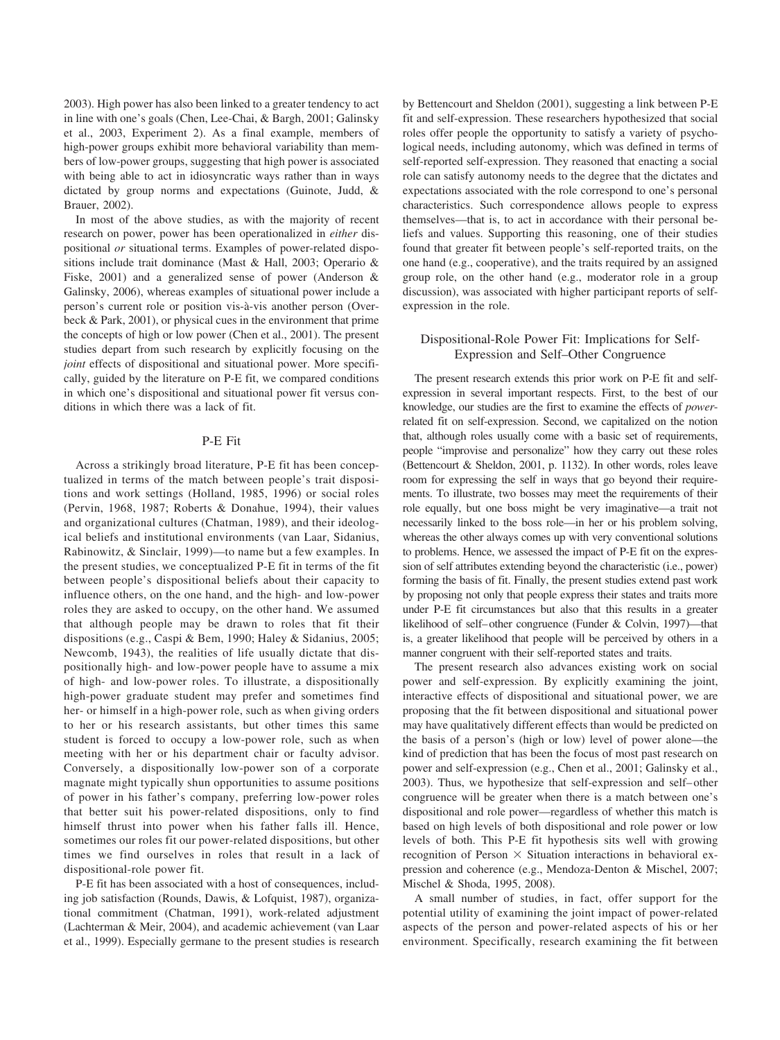2003). High power has also been linked to a greater tendency to act in line with one's goals (Chen, Lee-Chai, & Bargh, 2001; Galinsky et al., 2003, Experiment 2). As a final example, members of high-power groups exhibit more behavioral variability than members of low-power groups, suggesting that high power is associated with being able to act in idiosyncratic ways rather than in ways dictated by group norms and expectations (Guinote, Judd, & Brauer, 2002).

In most of the above studies, as with the majority of recent research on power, power has been operationalized in *either* dispositional *or* situational terms. Examples of power-related dispositions include trait dominance (Mast & Hall, 2003; Operario & Fiske, 2001) and a generalized sense of power (Anderson & Galinsky, 2006), whereas examples of situational power include a person's current role or position vis-à-vis another person (Overbeck & Park, 2001), or physical cues in the environment that prime the concepts of high or low power (Chen et al., 2001). The present studies depart from such research by explicitly focusing on the *joint* effects of dispositional and situational power. More specifically, guided by the literature on P-E fit, we compared conditions in which one's dispositional and situational power fit versus conditions in which there was a lack of fit.

# P-E Fit

Across a strikingly broad literature, P-E fit has been conceptualized in terms of the match between people's trait dispositions and work settings (Holland, 1985, 1996) or social roles (Pervin, 1968, 1987; Roberts & Donahue, 1994), their values and organizational cultures (Chatman, 1989), and their ideological beliefs and institutional environments (van Laar, Sidanius, Rabinowitz, & Sinclair, 1999)—to name but a few examples. In the present studies, we conceptualized P-E fit in terms of the fit between people's dispositional beliefs about their capacity to influence others, on the one hand, and the high- and low-power roles they are asked to occupy, on the other hand. We assumed that although people may be drawn to roles that fit their dispositions (e.g., Caspi & Bem, 1990; Haley & Sidanius, 2005; Newcomb, 1943), the realities of life usually dictate that dispositionally high- and low-power people have to assume a mix of high- and low-power roles. To illustrate, a dispositionally high-power graduate student may prefer and sometimes find her- or himself in a high-power role, such as when giving orders to her or his research assistants, but other times this same student is forced to occupy a low-power role, such as when meeting with her or his department chair or faculty advisor. Conversely, a dispositionally low-power son of a corporate magnate might typically shun opportunities to assume positions of power in his father's company, preferring low-power roles that better suit his power-related dispositions, only to find himself thrust into power when his father falls ill. Hence, sometimes our roles fit our power-related dispositions, but other times we find ourselves in roles that result in a lack of dispositional-role power fit.

P-E fit has been associated with a host of consequences, including job satisfaction (Rounds, Dawis, & Lofquist, 1987), organizational commitment (Chatman, 1991), work-related adjustment (Lachterman & Meir, 2004), and academic achievement (van Laar et al., 1999). Especially germane to the present studies is research by Bettencourt and Sheldon (2001), suggesting a link between P-E fit and self-expression. These researchers hypothesized that social roles offer people the opportunity to satisfy a variety of psychological needs, including autonomy, which was defined in terms of self-reported self-expression. They reasoned that enacting a social role can satisfy autonomy needs to the degree that the dictates and expectations associated with the role correspond to one's personal characteristics. Such correspondence allows people to express themselves—that is, to act in accordance with their personal beliefs and values. Supporting this reasoning, one of their studies found that greater fit between people's self-reported traits, on the one hand (e.g., cooperative), and the traits required by an assigned group role, on the other hand (e.g., moderator role in a group discussion), was associated with higher participant reports of selfexpression in the role.

# Dispositional-Role Power Fit: Implications for Self-Expression and Self–Other Congruence

The present research extends this prior work on P-E fit and selfexpression in several important respects. First, to the best of our knowledge, our studies are the first to examine the effects of *power*related fit on self-expression. Second, we capitalized on the notion that, although roles usually come with a basic set of requirements, people "improvise and personalize" how they carry out these roles (Bettencourt & Sheldon, 2001, p. 1132). In other words, roles leave room for expressing the self in ways that go beyond their requirements. To illustrate, two bosses may meet the requirements of their role equally, but one boss might be very imaginative—a trait not necessarily linked to the boss role—in her or his problem solving, whereas the other always comes up with very conventional solutions to problems. Hence, we assessed the impact of P-E fit on the expression of self attributes extending beyond the characteristic (i.e., power) forming the basis of fit. Finally, the present studies extend past work by proposing not only that people express their states and traits more under P-E fit circumstances but also that this results in a greater likelihood of self– other congruence (Funder & Colvin, 1997)—that is, a greater likelihood that people will be perceived by others in a manner congruent with their self-reported states and traits.

The present research also advances existing work on social power and self-expression. By explicitly examining the joint, interactive effects of dispositional and situational power, we are proposing that the fit between dispositional and situational power may have qualitatively different effects than would be predicted on the basis of a person's (high or low) level of power alone—the kind of prediction that has been the focus of most past research on power and self-expression (e.g., Chen et al., 2001; Galinsky et al., 2003). Thus, we hypothesize that self-expression and self– other congruence will be greater when there is a match between one's dispositional and role power—regardless of whether this match is based on high levels of both dispositional and role power or low levels of both. This P-E fit hypothesis sits well with growing recognition of Person  $\times$  Situation interactions in behavioral expression and coherence (e.g., Mendoza-Denton & Mischel, 2007; Mischel & Shoda, 1995, 2008).

A small number of studies, in fact, offer support for the potential utility of examining the joint impact of power-related aspects of the person and power-related aspects of his or her environment. Specifically, research examining the fit between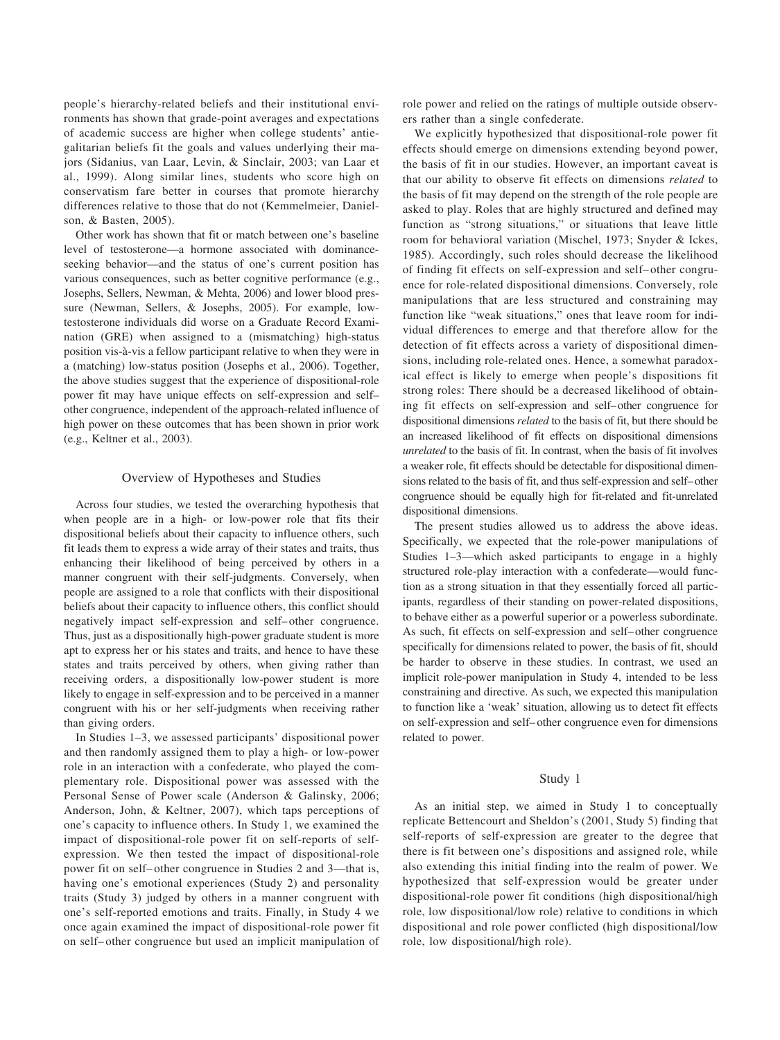people's hierarchy-related beliefs and their institutional environments has shown that grade-point averages and expectations of academic success are higher when college students' antiegalitarian beliefs fit the goals and values underlying their majors (Sidanius, van Laar, Levin, & Sinclair, 2003; van Laar et al., 1999). Along similar lines, students who score high on conservatism fare better in courses that promote hierarchy differences relative to those that do not (Kemmelmeier, Danielson, & Basten, 2005).

Other work has shown that fit or match between one's baseline level of testosterone—a hormone associated with dominanceseeking behavior—and the status of one's current position has various consequences, such as better cognitive performance (e.g., Josephs, Sellers, Newman, & Mehta, 2006) and lower blood pressure (Newman, Sellers, & Josephs, 2005). For example, lowtestosterone individuals did worse on a Graduate Record Examination (GRE) when assigned to a (mismatching) high-status position vis-à-vis a fellow participant relative to when they were in a (matching) low-status position (Josephs et al., 2006). Together, the above studies suggest that the experience of dispositional-role power fit may have unique effects on self-expression and self– other congruence, independent of the approach-related influence of high power on these outcomes that has been shown in prior work (e.g., Keltner et al., 2003).

#### Overview of Hypotheses and Studies

Across four studies, we tested the overarching hypothesis that when people are in a high- or low-power role that fits their dispositional beliefs about their capacity to influence others, such fit leads them to express a wide array of their states and traits, thus enhancing their likelihood of being perceived by others in a manner congruent with their self-judgments. Conversely, when people are assigned to a role that conflicts with their dispositional beliefs about their capacity to influence others, this conflict should negatively impact self-expression and self– other congruence. Thus, just as a dispositionally high-power graduate student is more apt to express her or his states and traits, and hence to have these states and traits perceived by others, when giving rather than receiving orders, a dispositionally low-power student is more likely to engage in self-expression and to be perceived in a manner congruent with his or her self-judgments when receiving rather than giving orders.

In Studies 1–3, we assessed participants' dispositional power and then randomly assigned them to play a high- or low-power role in an interaction with a confederate, who played the complementary role. Dispositional power was assessed with the Personal Sense of Power scale (Anderson & Galinsky, 2006; Anderson, John, & Keltner, 2007), which taps perceptions of one's capacity to influence others. In Study 1, we examined the impact of dispositional-role power fit on self-reports of selfexpression. We then tested the impact of dispositional-role power fit on self– other congruence in Studies 2 and 3—that is, having one's emotional experiences (Study 2) and personality traits (Study 3) judged by others in a manner congruent with one's self-reported emotions and traits. Finally, in Study 4 we once again examined the impact of dispositional-role power fit on self– other congruence but used an implicit manipulation of

role power and relied on the ratings of multiple outside observers rather than a single confederate.

We explicitly hypothesized that dispositional-role power fit effects should emerge on dimensions extending beyond power, the basis of fit in our studies. However, an important caveat is that our ability to observe fit effects on dimensions *related* to the basis of fit may depend on the strength of the role people are asked to play. Roles that are highly structured and defined may function as "strong situations," or situations that leave little room for behavioral variation (Mischel, 1973; Snyder & Ickes, 1985). Accordingly, such roles should decrease the likelihood of finding fit effects on self-expression and self– other congruence for role-related dispositional dimensions. Conversely, role manipulations that are less structured and constraining may function like "weak situations," ones that leave room for individual differences to emerge and that therefore allow for the detection of fit effects across a variety of dispositional dimensions, including role-related ones. Hence, a somewhat paradoxical effect is likely to emerge when people's dispositions fit strong roles: There should be a decreased likelihood of obtaining fit effects on self-expression and self– other congruence for dispositional dimensions *related* to the basis of fit, but there should be an increased likelihood of fit effects on dispositional dimensions *unrelated* to the basis of fit. In contrast, when the basis of fit involves a weaker role, fit effects should be detectable for dispositional dimensions related to the basis of fit, and thus self-expression and self– other congruence should be equally high for fit-related and fit-unrelated dispositional dimensions.

The present studies allowed us to address the above ideas. Specifically, we expected that the role-power manipulations of Studies 1–3—which asked participants to engage in a highly structured role-play interaction with a confederate—would function as a strong situation in that they essentially forced all participants, regardless of their standing on power-related dispositions, to behave either as a powerful superior or a powerless subordinate. As such, fit effects on self-expression and self– other congruence specifically for dimensions related to power, the basis of fit, should be harder to observe in these studies. In contrast, we used an implicit role-power manipulation in Study 4, intended to be less constraining and directive. As such, we expected this manipulation to function like a 'weak' situation, allowing us to detect fit effects on self-expression and self– other congruence even for dimensions related to power.

# Study 1

As an initial step, we aimed in Study 1 to conceptually replicate Bettencourt and Sheldon's (2001, Study 5) finding that self-reports of self-expression are greater to the degree that there is fit between one's dispositions and assigned role, while also extending this initial finding into the realm of power. We hypothesized that self-expression would be greater under dispositional-role power fit conditions (high dispositional/high role, low dispositional/low role) relative to conditions in which dispositional and role power conflicted (high dispositional/low role, low dispositional/high role).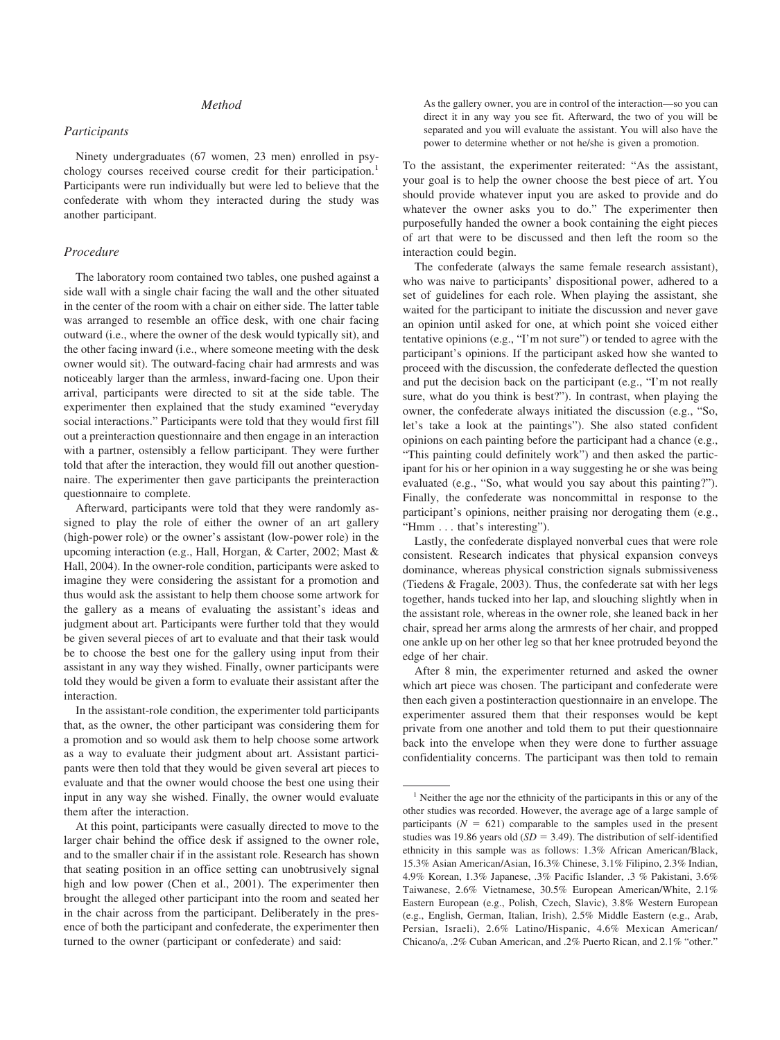# *Method*

# *Participants*

Ninety undergraduates (67 women, 23 men) enrolled in psychology courses received course credit for their participation.<sup>1</sup> Participants were run individually but were led to believe that the confederate with whom they interacted during the study was another participant.

#### *Procedure*

The laboratory room contained two tables, one pushed against a side wall with a single chair facing the wall and the other situated in the center of the room with a chair on either side. The latter table was arranged to resemble an office desk, with one chair facing outward (i.e., where the owner of the desk would typically sit), and the other facing inward (i.e., where someone meeting with the desk owner would sit). The outward-facing chair had armrests and was noticeably larger than the armless, inward-facing one. Upon their arrival, participants were directed to sit at the side table. The experimenter then explained that the study examined "everyday social interactions." Participants were told that they would first fill out a preinteraction questionnaire and then engage in an interaction with a partner, ostensibly a fellow participant. They were further told that after the interaction, they would fill out another questionnaire. The experimenter then gave participants the preinteraction questionnaire to complete.

Afterward, participants were told that they were randomly assigned to play the role of either the owner of an art gallery (high-power role) or the owner's assistant (low-power role) in the upcoming interaction (e.g., Hall, Horgan, & Carter, 2002; Mast & Hall, 2004). In the owner-role condition, participants were asked to imagine they were considering the assistant for a promotion and thus would ask the assistant to help them choose some artwork for the gallery as a means of evaluating the assistant's ideas and judgment about art. Participants were further told that they would be given several pieces of art to evaluate and that their task would be to choose the best one for the gallery using input from their assistant in any way they wished. Finally, owner participants were told they would be given a form to evaluate their assistant after the interaction.

In the assistant-role condition, the experimenter told participants that, as the owner, the other participant was considering them for a promotion and so would ask them to help choose some artwork as a way to evaluate their judgment about art. Assistant participants were then told that they would be given several art pieces to evaluate and that the owner would choose the best one using their input in any way she wished. Finally, the owner would evaluate them after the interaction.

At this point, participants were casually directed to move to the larger chair behind the office desk if assigned to the owner role, and to the smaller chair if in the assistant role. Research has shown that seating position in an office setting can unobtrusively signal high and low power (Chen et al., 2001). The experimenter then brought the alleged other participant into the room and seated her in the chair across from the participant. Deliberately in the presence of both the participant and confederate, the experimenter then turned to the owner (participant or confederate) and said:

As the gallery owner, you are in control of the interaction—so you can direct it in any way you see fit. Afterward, the two of you will be separated and you will evaluate the assistant. You will also have the power to determine whether or not he/she is given a promotion.

To the assistant, the experimenter reiterated: "As the assistant, your goal is to help the owner choose the best piece of art. You should provide whatever input you are asked to provide and do whatever the owner asks you to do." The experimenter then purposefully handed the owner a book containing the eight pieces of art that were to be discussed and then left the room so the interaction could begin.

The confederate (always the same female research assistant), who was naive to participants' dispositional power, adhered to a set of guidelines for each role. When playing the assistant, she waited for the participant to initiate the discussion and never gave an opinion until asked for one, at which point she voiced either tentative opinions (e.g., "I'm not sure") or tended to agree with the participant's opinions. If the participant asked how she wanted to proceed with the discussion, the confederate deflected the question and put the decision back on the participant (e.g., "I'm not really sure, what do you think is best?"). In contrast, when playing the owner, the confederate always initiated the discussion (e.g., "So, let's take a look at the paintings"). She also stated confident opinions on each painting before the participant had a chance (e.g., "This painting could definitely work") and then asked the participant for his or her opinion in a way suggesting he or she was being evaluated (e.g., "So, what would you say about this painting?"). Finally, the confederate was noncommittal in response to the participant's opinions, neither praising nor derogating them (e.g., "Hmm . . . that's interesting").

Lastly, the confederate displayed nonverbal cues that were role consistent. Research indicates that physical expansion conveys dominance, whereas physical constriction signals submissiveness (Tiedens & Fragale, 2003). Thus, the confederate sat with her legs together, hands tucked into her lap, and slouching slightly when in the assistant role, whereas in the owner role, she leaned back in her chair, spread her arms along the armrests of her chair, and propped one ankle up on her other leg so that her knee protruded beyond the edge of her chair.

After 8 min, the experimenter returned and asked the owner which art piece was chosen. The participant and confederate were then each given a postinteraction questionnaire in an envelope. The experimenter assured them that their responses would be kept private from one another and told them to put their questionnaire back into the envelope when they were done to further assuage confidentiality concerns. The participant was then told to remain

 $<sup>1</sup>$  Neither the age nor the ethnicity of the participants in this or any of the</sup> other studies was recorded. However, the average age of a large sample of participants  $(N = 621)$  comparable to the samples used in the present studies was 19.86 years old  $(SD = 3.49)$ . The distribution of self-identified ethnicity in this sample was as follows: 1.3% African American/Black, 15.3% Asian American/Asian, 16.3% Chinese, 3.1% Filipino, 2.3% Indian, 4.9% Korean, 1.3% Japanese, .3% Pacific Islander, .3 % Pakistani, 3.6% Taiwanese, 2.6% Vietnamese, 30.5% European American/White, 2.1% Eastern European (e.g., Polish, Czech, Slavic), 3.8% Western European (e.g., English, German, Italian, Irish), 2.5% Middle Eastern (e.g., Arab, Persian, Israeli), 2.6% Latino/Hispanic, 4.6% Mexican American/ Chicano/a, .2% Cuban American, and .2% Puerto Rican, and 2.1% "other."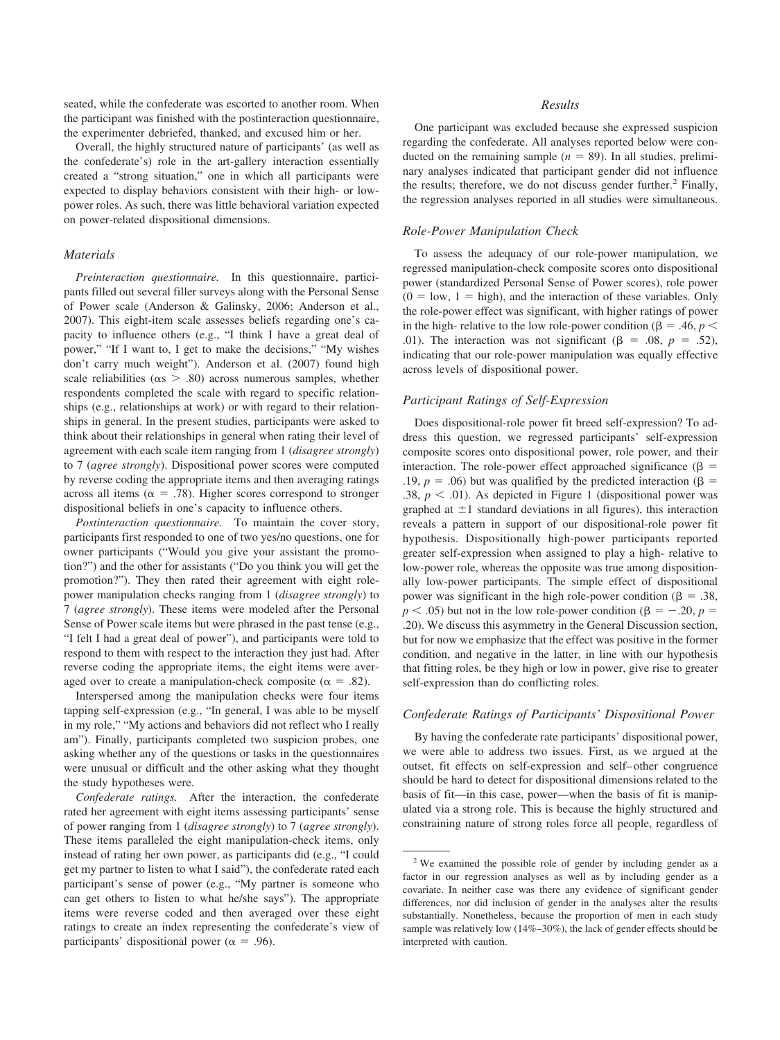seated, while the confederate was escorted to another room. When the participant was finished with the postinteraction questionnaire, the experimenter debriefed, thanked, and excused him or her.

Overall, the highly structured nature of participants' (as well as the confederate's) role in the art-gallery interaction essentially created a "strong situation," one in which all participants were expected to display behaviors consistent with their high- or lowpower roles. As such, there was little behavioral variation expected on power-related dispositional dimensions.

# *Materials*

*Preinteraction questionnaire.* In this questionnaire, participants filled out several filler surveys along with the Personal Sense of Power scale (Anderson & Galinsky, 2006; Anderson et al., 2007). This eight-item scale assesses beliefs regarding one's capacity to influence others (e.g., "I think I have a great deal of power," "If I want to, I get to make the decisions," "My wishes don't carry much weight"). Anderson et al. (2007) found high scale reliabilities ( $\alpha$ s > .80) across numerous samples, whether respondents completed the scale with regard to specific relationships (e.g., relationships at work) or with regard to their relationships in general. In the present studies, participants were asked to think about their relationships in general when rating their level of agreement with each scale item ranging from 1 (*disagree strongly*) to 7 (*agree strongly*). Dispositional power scores were computed by reverse coding the appropriate items and then averaging ratings across all items ( $\alpha = .78$ ). Higher scores correspond to stronger dispositional beliefs in one's capacity to influence others.

*Postinteraction questionnaire.* To maintain the cover story, participants first responded to one of two yes/no questions, one for owner participants ("Would you give your assistant the promotion?") and the other for assistants ("Do you think you will get the promotion?"). They then rated their agreement with eight rolepower manipulation checks ranging from 1 (*disagree strongly*) to 7 (*agree strongly*). These items were modeled after the Personal Sense of Power scale items but were phrased in the past tense (e.g., "I felt I had a great deal of power"), and participants were told to respond to them with respect to the interaction they just had. After reverse coding the appropriate items, the eight items were averaged over to create a manipulation-check composite ( $\alpha = .82$ ).

Interspersed among the manipulation checks were four items tapping self-expression (e.g., "In general, I was able to be myself in my role," "My actions and behaviors did not reflect who I really am"). Finally, participants completed two suspicion probes, one asking whether any of the questions or tasks in the questionnaires were unusual or difficult and the other asking what they thought the study hypotheses were.

*Confederate ratings.* After the interaction, the confederate rated her agreement with eight items assessing participants' sense of power ranging from 1 (*disagree strongly*) to 7 (*agree strongly*). These items paralleled the eight manipulation-check items, only instead of rating her own power, as participants did (e.g., "I could get my partner to listen to what I said"), the confederate rated each participant's sense of power (e.g., "My partner is someone who can get others to listen to what he/she says"). The appropriate items were reverse coded and then averaged over these eight ratings to create an index representing the confederate's view of participants' dispositional power ( $\alpha = .96$ ).

# *Results*

One participant was excluded because she expressed suspicion regarding the confederate. All analyses reported below were conducted on the remaining sample  $(n = 89)$ . In all studies, preliminary analyses indicated that participant gender did not influence the results; therefore, we do not discuss gender further.<sup>2</sup> Finally, the regression analyses reported in all studies were simultaneous.

# *Role-Power Manipulation Check*

To assess the adequacy of our role-power manipulation, we regressed manipulation-check composite scores onto dispositional power (standardized Personal Sense of Power scores), role power  $(0 = low, 1 = high)$ , and the interaction of these variables. Only the role-power effect was significant, with higher ratings of power in the high-relative to the low role-power condition ( $\beta = .46$ ,  $p <$ .01). The interaction was not significant ( $\beta = .08$ ,  $p = .52$ ), indicating that our role-power manipulation was equally effective across levels of dispositional power.

# *Participant Ratings of Self-Expression*

Does dispositional-role power fit breed self-expression? To address this question, we regressed participants' self-expression composite scores onto dispositional power, role power, and their interaction. The role-power effect approached significance ( $\beta$  = .19,  $p = .06$ ) but was qualified by the predicted interaction ( $\beta$  = .38,  $p < .01$ ). As depicted in Figure 1 (dispositional power was graphed at  $\pm 1$  standard deviations in all figures), this interaction reveals a pattern in support of our dispositional-role power fit hypothesis. Dispositionally high-power participants reported greater self-expression when assigned to play a high- relative to low-power role, whereas the opposite was true among dispositionally low-power participants. The simple effect of dispositional power was significant in the high role-power condition ( $\beta = .38$ ,  $p < .05$ ) but not in the low role-power condition ( $\beta = -.20$ ,  $p =$ .20). We discuss this asymmetry in the General Discussion section, but for now we emphasize that the effect was positive in the former condition, and negative in the latter, in line with our hypothesis that fitting roles, be they high or low in power, give rise to greater self-expression than do conflicting roles.

# *Confederate Ratings of Participants' Dispositional Power*

By having the confederate rate participants' dispositional power, we were able to address two issues. First, as we argued at the outset, fit effects on self-expression and self– other congruence should be hard to detect for dispositional dimensions related to the basis of fit—in this case, power—when the basis of fit is manipulated via a strong role. This is because the highly structured and constraining nature of strong roles force all people, regardless of

<sup>2</sup> We examined the possible role of gender by including gender as a factor in our regression analyses as well as by including gender as a covariate. In neither case was there any evidence of significant gender differences, nor did inclusion of gender in the analyses alter the results substantially. Nonetheless, because the proportion of men in each study sample was relatively low (14%–30%), the lack of gender effects should be interpreted with caution.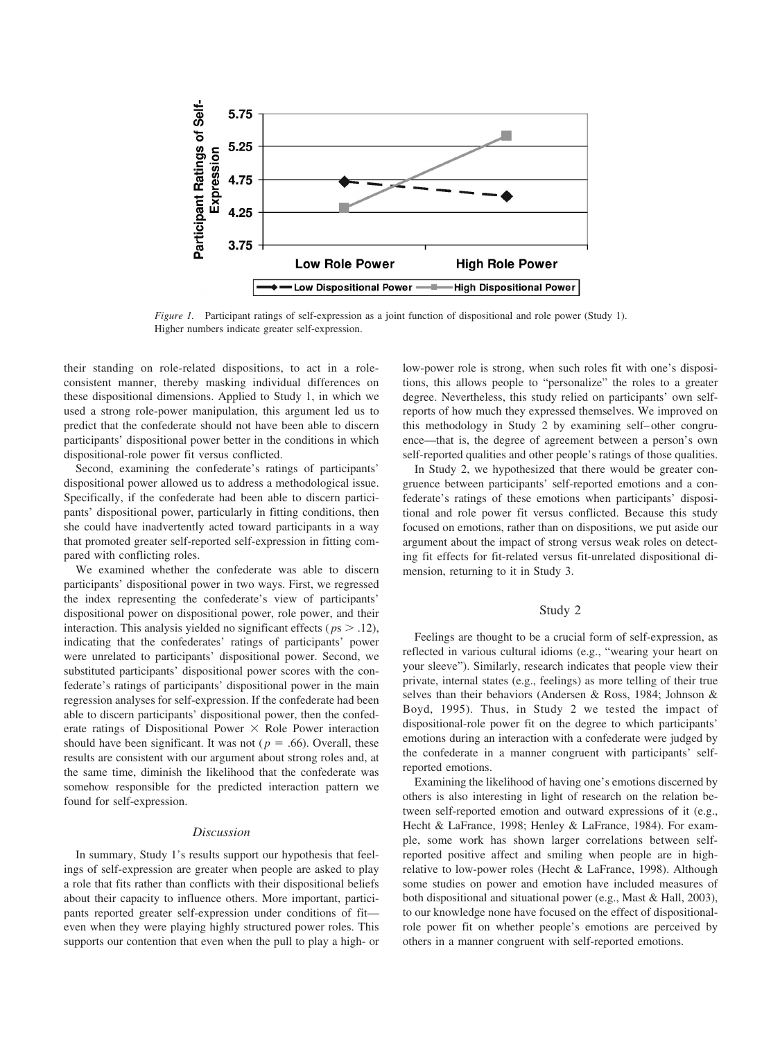

*Figure 1.* Participant ratings of self-expression as a joint function of dispositional and role power (Study 1). Higher numbers indicate greater self-expression.

their standing on role-related dispositions, to act in a roleconsistent manner, thereby masking individual differences on these dispositional dimensions. Applied to Study 1, in which we used a strong role-power manipulation, this argument led us to predict that the confederate should not have been able to discern participants' dispositional power better in the conditions in which dispositional-role power fit versus conflicted.

Second, examining the confederate's ratings of participants' dispositional power allowed us to address a methodological issue. Specifically, if the confederate had been able to discern participants' dispositional power, particularly in fitting conditions, then she could have inadvertently acted toward participants in a way that promoted greater self-reported self-expression in fitting compared with conflicting roles.

We examined whether the confederate was able to discern participants' dispositional power in two ways. First, we regressed the index representing the confederate's view of participants' dispositional power on dispositional power, role power, and their interaction. This analysis yielded no significant effects ( $p_s$  > .12), indicating that the confederates' ratings of participants' power were unrelated to participants' dispositional power. Second, we substituted participants' dispositional power scores with the confederate's ratings of participants' dispositional power in the main regression analyses for self-expression. If the confederate had been able to discern participants' dispositional power, then the confederate ratings of Dispositional Power  $\times$  Role Power interaction should have been significant. It was not ( $p = .66$ ). Overall, these results are consistent with our argument about strong roles and, at the same time, diminish the likelihood that the confederate was somehow responsible for the predicted interaction pattern we found for self-expression.

#### *Discussion*

In summary, Study 1's results support our hypothesis that feelings of self-expression are greater when people are asked to play a role that fits rather than conflicts with their dispositional beliefs about their capacity to influence others. More important, participants reported greater self-expression under conditions of fit even when they were playing highly structured power roles. This supports our contention that even when the pull to play a high- or low-power role is strong, when such roles fit with one's dispositions, this allows people to "personalize" the roles to a greater degree. Nevertheless, this study relied on participants' own selfreports of how much they expressed themselves. We improved on this methodology in Study 2 by examining self– other congruence—that is, the degree of agreement between a person's own self-reported qualities and other people's ratings of those qualities.

In Study 2, we hypothesized that there would be greater congruence between participants' self-reported emotions and a confederate's ratings of these emotions when participants' dispositional and role power fit versus conflicted. Because this study focused on emotions, rather than on dispositions, we put aside our argument about the impact of strong versus weak roles on detecting fit effects for fit-related versus fit-unrelated dispositional dimension, returning to it in Study 3.

## Study 2

Feelings are thought to be a crucial form of self-expression, as reflected in various cultural idioms (e.g., "wearing your heart on your sleeve"). Similarly, research indicates that people view their private, internal states (e.g., feelings) as more telling of their true selves than their behaviors (Andersen & Ross, 1984; Johnson & Boyd, 1995). Thus, in Study 2 we tested the impact of dispositional-role power fit on the degree to which participants' emotions during an interaction with a confederate were judged by the confederate in a manner congruent with participants' selfreported emotions.

Examining the likelihood of having one's emotions discerned by others is also interesting in light of research on the relation between self-reported emotion and outward expressions of it (e.g., Hecht & LaFrance, 1998; Henley & LaFrance, 1984). For example, some work has shown larger correlations between selfreported positive affect and smiling when people are in highrelative to low-power roles (Hecht & LaFrance, 1998). Although some studies on power and emotion have included measures of both dispositional and situational power (e.g., Mast & Hall, 2003), to our knowledge none have focused on the effect of dispositionalrole power fit on whether people's emotions are perceived by others in a manner congruent with self-reported emotions.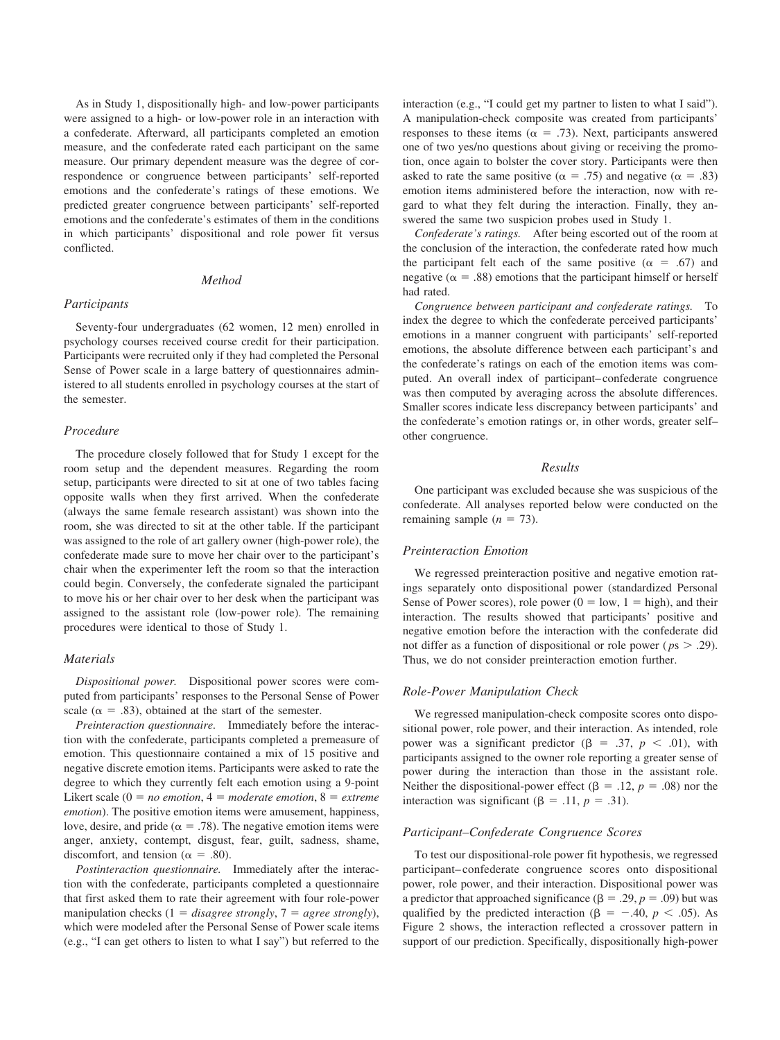As in Study 1, dispositionally high- and low-power participants were assigned to a high- or low-power role in an interaction with a confederate. Afterward, all participants completed an emotion measure, and the confederate rated each participant on the same measure. Our primary dependent measure was the degree of correspondence or congruence between participants' self-reported emotions and the confederate's ratings of these emotions. We predicted greater congruence between participants' self-reported emotions and the confederate's estimates of them in the conditions in which participants' dispositional and role power fit versus conflicted.

# *Method*

#### *Participants*

Seventy-four undergraduates (62 women, 12 men) enrolled in psychology courses received course credit for their participation. Participants were recruited only if they had completed the Personal Sense of Power scale in a large battery of questionnaires administered to all students enrolled in psychology courses at the start of the semester.

# *Procedure*

The procedure closely followed that for Study 1 except for the room setup and the dependent measures. Regarding the room setup, participants were directed to sit at one of two tables facing opposite walls when they first arrived. When the confederate (always the same female research assistant) was shown into the room, she was directed to sit at the other table. If the participant was assigned to the role of art gallery owner (high-power role), the confederate made sure to move her chair over to the participant's chair when the experimenter left the room so that the interaction could begin. Conversely, the confederate signaled the participant to move his or her chair over to her desk when the participant was assigned to the assistant role (low-power role). The remaining procedures were identical to those of Study 1.

## *Materials*

*Dispositional power.* Dispositional power scores were computed from participants' responses to the Personal Sense of Power scale ( $\alpha = .83$ ), obtained at the start of the semester.

*Preinteraction questionnaire.* Immediately before the interaction with the confederate, participants completed a premeasure of emotion. This questionnaire contained a mix of 15 positive and negative discrete emotion items. Participants were asked to rate the degree to which they currently felt each emotion using a 9-point Likert scale  $(0 = no \, emotion, 4 = moderate \, emotion, 8 = extreme)$ *emotion*). The positive emotion items were amusement, happiness, love, desire, and pride ( $\alpha = .78$ ). The negative emotion items were anger, anxiety, contempt, disgust, fear, guilt, sadness, shame, discomfort, and tension ( $\alpha = .80$ ).

*Postinteraction questionnaire.* Immediately after the interaction with the confederate, participants completed a questionnaire that first asked them to rate their agreement with four role-power manipulation checks  $(1 = disagree\ strongly, 7 = agree\ strongly)$ , which were modeled after the Personal Sense of Power scale items (e.g., "I can get others to listen to what I say") but referred to the interaction (e.g., "I could get my partner to listen to what I said"). A manipulation-check composite was created from participants' responses to these items ( $\alpha = .73$ ). Next, participants answered one of two yes/no questions about giving or receiving the promotion, once again to bolster the cover story. Participants were then asked to rate the same positive ( $\alpha = .75$ ) and negative ( $\alpha = .83$ ) emotion items administered before the interaction, now with regard to what they felt during the interaction. Finally, they answered the same two suspicion probes used in Study 1.

*Confederate's ratings.* After being escorted out of the room at the conclusion of the interaction, the confederate rated how much the participant felt each of the same positive ( $\alpha = .67$ ) and negative ( $\alpha = .88$ ) emotions that the participant himself or herself had rated.

*Congruence between participant and confederate ratings.* To index the degree to which the confederate perceived participants' emotions in a manner congruent with participants' self-reported emotions, the absolute difference between each participant's and the confederate's ratings on each of the emotion items was computed. An overall index of participant– confederate congruence was then computed by averaging across the absolute differences. Smaller scores indicate less discrepancy between participants' and the confederate's emotion ratings or, in other words, greater self– other congruence.

# *Results*

One participant was excluded because she was suspicious of the confederate. All analyses reported below were conducted on the remaining sample  $(n = 73)$ .

# *Preinteraction Emotion*

We regressed preinteraction positive and negative emotion ratings separately onto dispositional power (standardized Personal Sense of Power scores), role power  $(0 = low, 1 = high)$ , and their interaction. The results showed that participants' positive and negative emotion before the interaction with the confederate did not differ as a function of dispositional or role power ( $p_s > .29$ ). Thus, we do not consider preinteraction emotion further.

# *Role-Power Manipulation Check*

We regressed manipulation-check composite scores onto dispositional power, role power, and their interaction. As intended, role power was a significant predictor ( $\beta = .37$ ,  $p < .01$ ), with participants assigned to the owner role reporting a greater sense of power during the interaction than those in the assistant role. Neither the dispositional-power effect ( $\beta = .12$ ,  $p = .08$ ) nor the interaction was significant ( $\beta = .11$ ,  $p = .31$ ).

# *Participant–Confederate Congruence Scores*

To test our dispositional-role power fit hypothesis, we regressed participant– confederate congruence scores onto dispositional power, role power, and their interaction. Dispositional power was a predictor that approached significance ( $\beta = .29$ ,  $p = .09$ ) but was qualified by the predicted interaction ( $\beta = -.40, p < .05$ ). As Figure 2 shows, the interaction reflected a crossover pattern in support of our prediction. Specifically, dispositionally high-power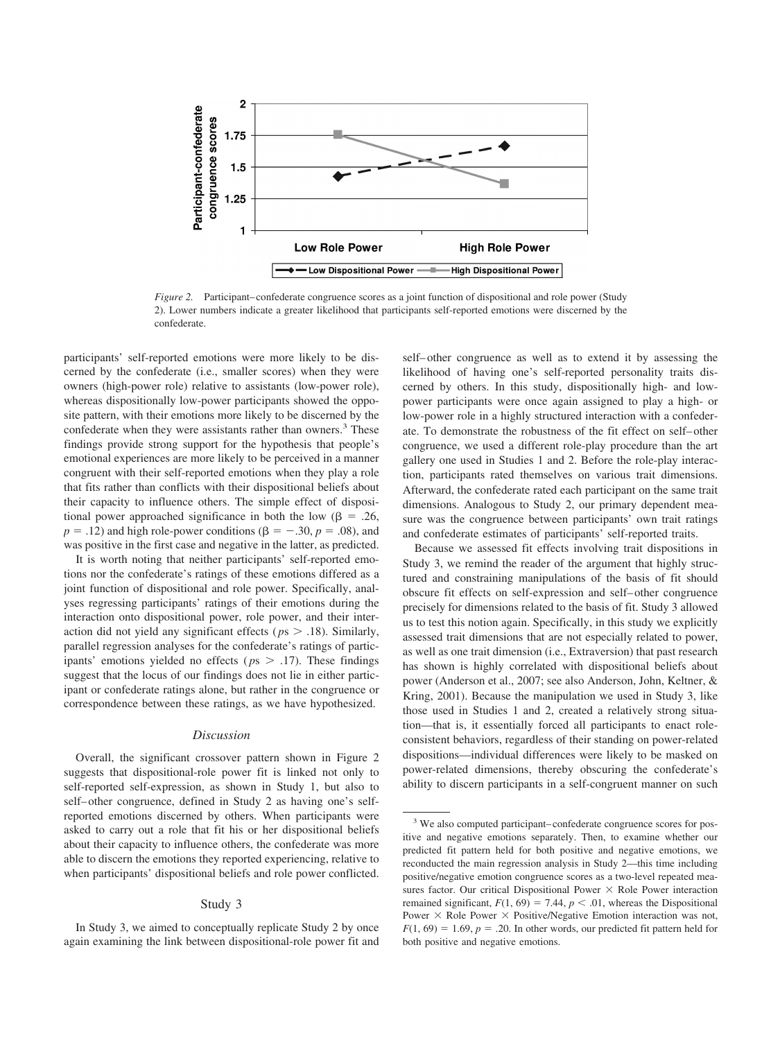

*Figure 2.* Participant– confederate congruence scores as a joint function of dispositional and role power (Study 2). Lower numbers indicate a greater likelihood that participants self-reported emotions were discerned by the confederate.

participants' self-reported emotions were more likely to be discerned by the confederate (i.e., smaller scores) when they were owners (high-power role) relative to assistants (low-power role), whereas dispositionally low-power participants showed the opposite pattern, with their emotions more likely to be discerned by the confederate when they were assistants rather than owners.<sup>3</sup> These findings provide strong support for the hypothesis that people's emotional experiences are more likely to be perceived in a manner congruent with their self-reported emotions when they play a role that fits rather than conflicts with their dispositional beliefs about their capacity to influence others. The simple effect of dispositional power approached significance in both the low ( $\beta = .26$ ,  $p = .12$ ) and high role-power conditions ( $\beta = -.30, p = .08$ ), and was positive in the first case and negative in the latter, as predicted.

It is worth noting that neither participants' self-reported emotions nor the confederate's ratings of these emotions differed as a joint function of dispositional and role power. Specifically, analyses regressing participants' ratings of their emotions during the interaction onto dispositional power, role power, and their interaction did not yield any significant effects ( $p_s$  > .18). Similarly, parallel regression analyses for the confederate's ratings of participants' emotions yielded no effects ( $p_s > .17$ ). These findings suggest that the locus of our findings does not lie in either participant or confederate ratings alone, but rather in the congruence or correspondence between these ratings, as we have hypothesized.

#### *Discussion*

Overall, the significant crossover pattern shown in Figure 2 suggests that dispositional-role power fit is linked not only to self-reported self-expression, as shown in Study 1, but also to self– other congruence, defined in Study 2 as having one's selfreported emotions discerned by others. When participants were asked to carry out a role that fit his or her dispositional beliefs about their capacity to influence others, the confederate was more able to discern the emotions they reported experiencing, relative to when participants' dispositional beliefs and role power conflicted.

#### Study 3

In Study 3, we aimed to conceptually replicate Study 2 by once again examining the link between dispositional-role power fit and self– other congruence as well as to extend it by assessing the likelihood of having one's self-reported personality traits discerned by others. In this study, dispositionally high- and lowpower participants were once again assigned to play a high- or low-power role in a highly structured interaction with a confederate. To demonstrate the robustness of the fit effect on self– other congruence, we used a different role-play procedure than the art gallery one used in Studies 1 and 2. Before the role-play interaction, participants rated themselves on various trait dimensions. Afterward, the confederate rated each participant on the same trait dimensions. Analogous to Study 2, our primary dependent measure was the congruence between participants' own trait ratings and confederate estimates of participants' self-reported traits.

Because we assessed fit effects involving trait dispositions in Study 3, we remind the reader of the argument that highly structured and constraining manipulations of the basis of fit should obscure fit effects on self-expression and self– other congruence precisely for dimensions related to the basis of fit. Study 3 allowed us to test this notion again. Specifically, in this study we explicitly assessed trait dimensions that are not especially related to power, as well as one trait dimension (i.e., Extraversion) that past research has shown is highly correlated with dispositional beliefs about power (Anderson et al., 2007; see also Anderson, John, Keltner, & Kring, 2001). Because the manipulation we used in Study 3, like those used in Studies 1 and 2, created a relatively strong situation—that is, it essentially forced all participants to enact roleconsistent behaviors, regardless of their standing on power-related dispositions—individual differences were likely to be masked on power-related dimensions, thereby obscuring the confederate's ability to discern participants in a self-congruent manner on such

<sup>3</sup> We also computed participant– confederate congruence scores for positive and negative emotions separately. Then, to examine whether our predicted fit pattern held for both positive and negative emotions, we reconducted the main regression analysis in Study 2—this time including positive/negative emotion congruence scores as a two-level repeated measures factor. Our critical Dispositional Power  $\times$  Role Power interaction remained significant,  $F(1, 69) = 7.44$ ,  $p < .01$ , whereas the Dispositional Power  $\times$  Role Power  $\times$  Positive/Negative Emotion interaction was not,  $F(1, 69) = 1.69$ ,  $p = .20$ . In other words, our predicted fit pattern held for both positive and negative emotions.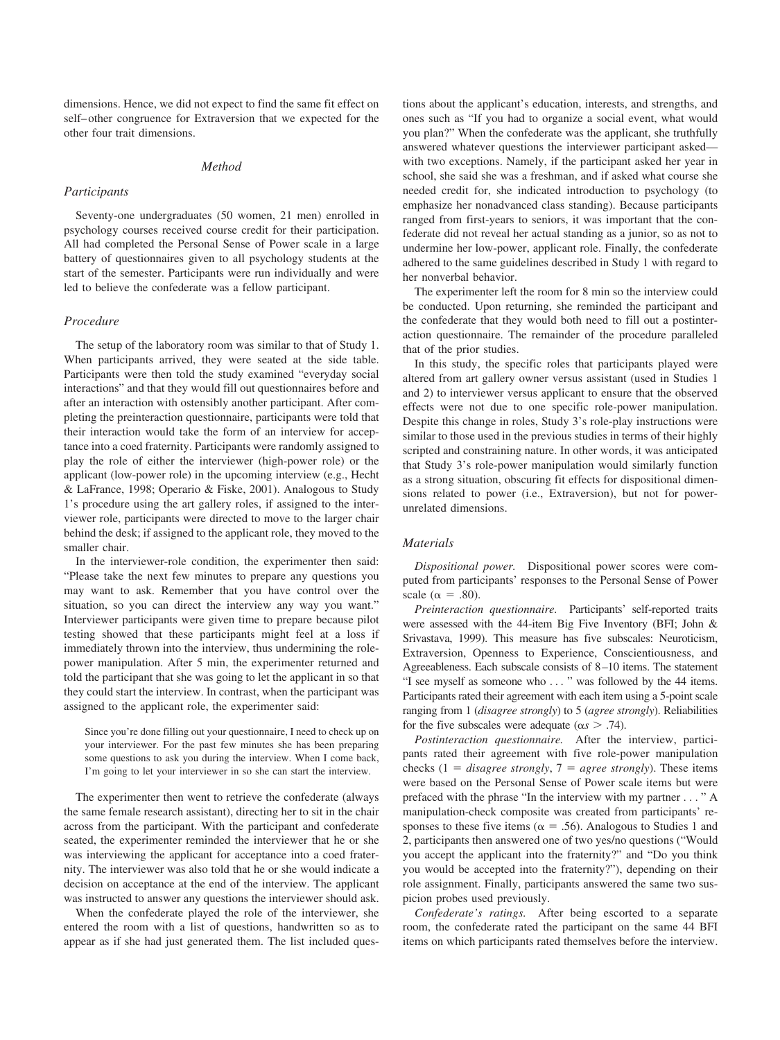dimensions. Hence, we did not expect to find the same fit effect on self– other congruence for Extraversion that we expected for the other four trait dimensions.

# *Method*

#### *Participants*

Seventy-one undergraduates (50 women, 21 men) enrolled in psychology courses received course credit for their participation. All had completed the Personal Sense of Power scale in a large battery of questionnaires given to all psychology students at the start of the semester. Participants were run individually and were led to believe the confederate was a fellow participant.

#### *Procedure*

The setup of the laboratory room was similar to that of Study 1. When participants arrived, they were seated at the side table. Participants were then told the study examined "everyday social interactions" and that they would fill out questionnaires before and after an interaction with ostensibly another participant. After completing the preinteraction questionnaire, participants were told that their interaction would take the form of an interview for acceptance into a coed fraternity. Participants were randomly assigned to play the role of either the interviewer (high-power role) or the applicant (low-power role) in the upcoming interview (e.g., Hecht & LaFrance, 1998; Operario & Fiske, 2001). Analogous to Study 1's procedure using the art gallery roles, if assigned to the interviewer role, participants were directed to move to the larger chair behind the desk; if assigned to the applicant role, they moved to the smaller chair.

In the interviewer-role condition, the experimenter then said: "Please take the next few minutes to prepare any questions you may want to ask. Remember that you have control over the situation, so you can direct the interview any way you want." Interviewer participants were given time to prepare because pilot testing showed that these participants might feel at a loss if immediately thrown into the interview, thus undermining the rolepower manipulation. After 5 min, the experimenter returned and told the participant that she was going to let the applicant in so that they could start the interview. In contrast, when the participant was assigned to the applicant role, the experimenter said:

Since you're done filling out your questionnaire, I need to check up on your interviewer. For the past few minutes she has been preparing some questions to ask you during the interview. When I come back, I'm going to let your interviewer in so she can start the interview.

The experimenter then went to retrieve the confederate (always the same female research assistant), directing her to sit in the chair across from the participant. With the participant and confederate seated, the experimenter reminded the interviewer that he or she was interviewing the applicant for acceptance into a coed fraternity. The interviewer was also told that he or she would indicate a decision on acceptance at the end of the interview. The applicant was instructed to answer any questions the interviewer should ask.

When the confederate played the role of the interviewer, she entered the room with a list of questions, handwritten so as to appear as if she had just generated them. The list included questions about the applicant's education, interests, and strengths, and ones such as "If you had to organize a social event, what would you plan?" When the confederate was the applicant, she truthfully answered whatever questions the interviewer participant asked with two exceptions. Namely, if the participant asked her year in school, she said she was a freshman, and if asked what course she needed credit for, she indicated introduction to psychology (to emphasize her nonadvanced class standing). Because participants ranged from first-years to seniors, it was important that the confederate did not reveal her actual standing as a junior, so as not to undermine her low-power, applicant role. Finally, the confederate adhered to the same guidelines described in Study 1 with regard to her nonverbal behavior.

The experimenter left the room for 8 min so the interview could be conducted. Upon returning, she reminded the participant and the confederate that they would both need to fill out a postinteraction questionnaire. The remainder of the procedure paralleled that of the prior studies.

In this study, the specific roles that participants played were altered from art gallery owner versus assistant (used in Studies 1 and 2) to interviewer versus applicant to ensure that the observed effects were not due to one specific role-power manipulation. Despite this change in roles, Study 3's role-play instructions were similar to those used in the previous studies in terms of their highly scripted and constraining nature. In other words, it was anticipated that Study 3's role-power manipulation would similarly function as a strong situation, obscuring fit effects for dispositional dimensions related to power (i.e., Extraversion), but not for powerunrelated dimensions.

#### *Materials*

*Dispositional power.* Dispositional power scores were computed from participants' responses to the Personal Sense of Power scale ( $\alpha = .80$ ).

*Preinteraction questionnaire.* Participants' self-reported traits were assessed with the 44-item Big Five Inventory (BFI; John & Srivastava, 1999). This measure has five subscales: Neuroticism, Extraversion, Openness to Experience, Conscientiousness, and Agreeableness. Each subscale consists of 8 –10 items. The statement "I see myself as someone who . . . " was followed by the 44 items. Participants rated their agreement with each item using a 5-point scale ranging from 1 (*disagree strongly*) to 5 (*agree strongly*). Reliabilities for the five subscales were adequate  $(\alpha s > .74)$ .

*Postinteraction questionnaire.* After the interview, participants rated their agreement with five role-power manipulation checks  $(1 = \text{disagree strongly}, 7 = \text{agree strongly})$ . These items were based on the Personal Sense of Power scale items but were prefaced with the phrase "In the interview with my partner . . . " A manipulation-check composite was created from participants' responses to these five items ( $\alpha = .56$ ). Analogous to Studies 1 and 2, participants then answered one of two yes/no questions ("Would you accept the applicant into the fraternity?" and "Do you think you would be accepted into the fraternity?"), depending on their role assignment. Finally, participants answered the same two suspicion probes used previously.

*Confederate's ratings.* After being escorted to a separate room, the confederate rated the participant on the same 44 BFI items on which participants rated themselves before the interview.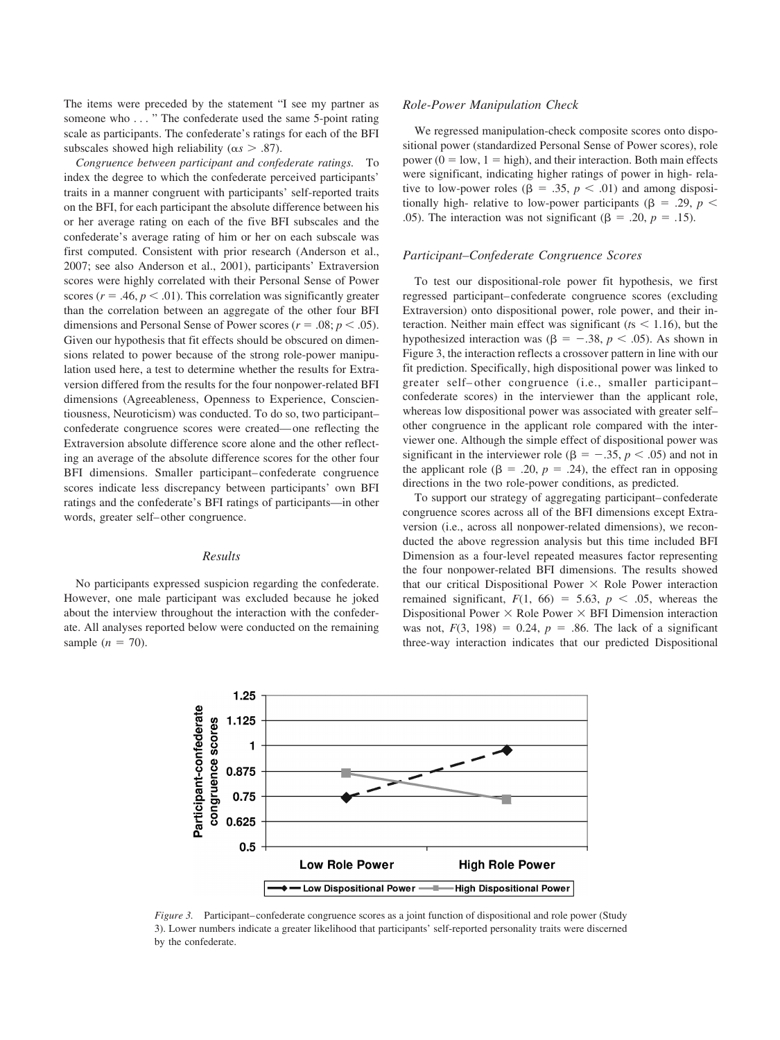The items were preceded by the statement "I see my partner as someone who . . . " The confederate used the same 5-point rating scale as participants. The confederate's ratings for each of the BFI subscales showed high reliability ( $\alpha s > .87$ ).

*Congruence between participant and confederate ratings.* To index the degree to which the confederate perceived participants' traits in a manner congruent with participants' self-reported traits on the BFI, for each participant the absolute difference between his or her average rating on each of the five BFI subscales and the confederate's average rating of him or her on each subscale was first computed. Consistent with prior research (Anderson et al., 2007; see also Anderson et al., 2001), participants' Extraversion scores were highly correlated with their Personal Sense of Power scores ( $r = .46$ ,  $p < .01$ ). This correlation was significantly greater than the correlation between an aggregate of the other four BFI dimensions and Personal Sense of Power scores ( $r = .08; p < .05$ ). Given our hypothesis that fit effects should be obscured on dimensions related to power because of the strong role-power manipulation used here, a test to determine whether the results for Extraversion differed from the results for the four nonpower-related BFI dimensions (Agreeableness, Openness to Experience, Conscientiousness, Neuroticism) was conducted. To do so, two participant– confederate congruence scores were created— one reflecting the Extraversion absolute difference score alone and the other reflecting an average of the absolute difference scores for the other four BFI dimensions. Smaller participant– confederate congruence scores indicate less discrepancy between participants' own BFI ratings and the confederate's BFI ratings of participants—in other words, greater self– other congruence.

#### *Results*

No participants expressed suspicion regarding the confederate. However, one male participant was excluded because he joked about the interview throughout the interaction with the confederate. All analyses reported below were conducted on the remaining sample  $(n = 70)$ .

#### *Role-Power Manipulation Check*

We regressed manipulation-check composite scores onto dispositional power (standardized Personal Sense of Power scores), role power  $(0 = low, 1 = high)$ , and their interaction. Both main effects were significant, indicating higher ratings of power in high- relative to low-power roles ( $\beta = .35$ ,  $p < .01$ ) and among dispositionally high- relative to low-power participants ( $\beta$  = .29,  $p$  < .05). The interaction was not significant ( $\beta$  = .20,  $p$  = .15).

### *Participant–Confederate Congruence Scores*

To test our dispositional-role power fit hypothesis, we first regressed participant– confederate congruence scores (excluding Extraversion) onto dispositional power, role power, and their interaction. Neither main effect was significant  $($ ts  $< 1.16$ ), but the hypothesized interaction was ( $\beta = -.38, p < .05$ ). As shown in Figure 3, the interaction reflects a crossover pattern in line with our fit prediction. Specifically, high dispositional power was linked to greater self– other congruence (i.e., smaller participant– confederate scores) in the interviewer than the applicant role, whereas low dispositional power was associated with greater self– other congruence in the applicant role compared with the interviewer one. Although the simple effect of dispositional power was significant in the interviewer role ( $\beta = -.35, p < .05$ ) and not in the applicant role ( $\beta$  = .20,  $p$  = .24), the effect ran in opposing directions in the two role-power conditions, as predicted.

To support our strategy of aggregating participant– confederate congruence scores across all of the BFI dimensions except Extraversion (i.e., across all nonpower-related dimensions), we reconducted the above regression analysis but this time included BFI Dimension as a four-level repeated measures factor representing the four nonpower-related BFI dimensions. The results showed that our critical Dispositional Power  $\times$  Role Power interaction remained significant,  $F(1, 66) = 5.63$ ,  $p < .05$ , whereas the Dispositional Power  $\times$  Role Power  $\times$  BFI Dimension interaction was not,  $F(3, 198) = 0.24$ ,  $p = .86$ . The lack of a significant three-way interaction indicates that our predicted Dispositional



*Figure 3.* Participant–confederate congruence scores as a joint function of dispositional and role power (Study 3). Lower numbers indicate a greater likelihood that participants' self-reported personality traits were discerned by the confederate.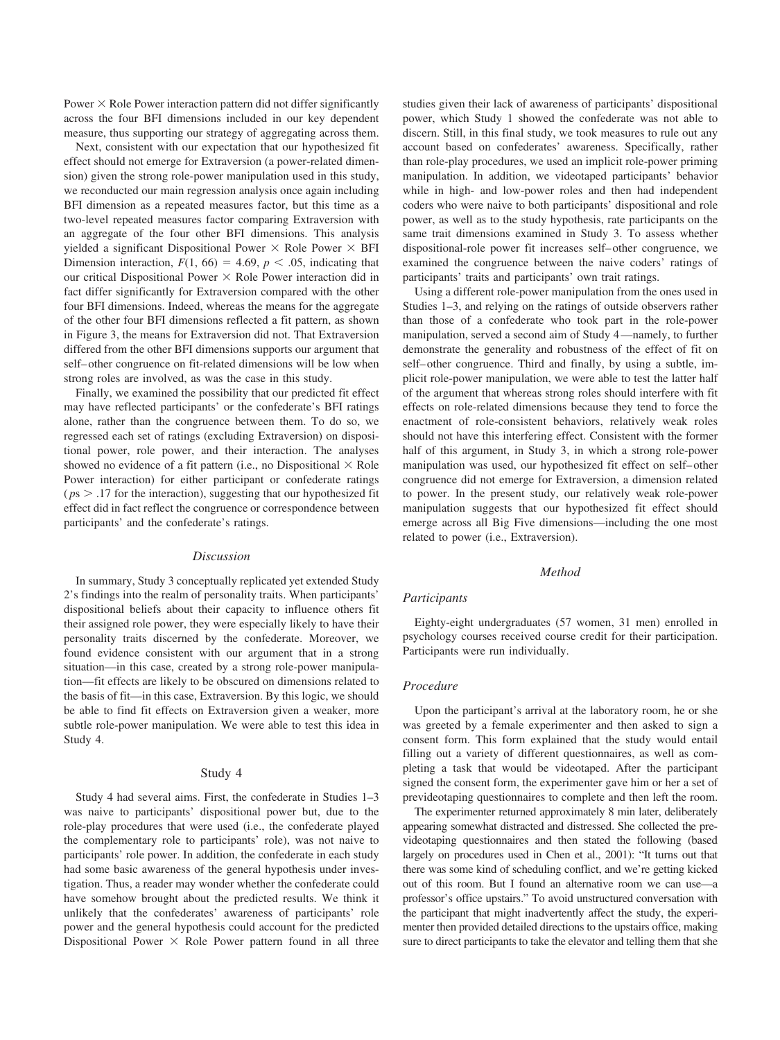Power  $\times$  Role Power interaction pattern did not differ significantly across the four BFI dimensions included in our key dependent measure, thus supporting our strategy of aggregating across them.

Next, consistent with our expectation that our hypothesized fit effect should not emerge for Extraversion (a power-related dimension) given the strong role-power manipulation used in this study, we reconducted our main regression analysis once again including BFI dimension as a repeated measures factor, but this time as a two-level repeated measures factor comparing Extraversion with an aggregate of the four other BFI dimensions. This analysis yielded a significant Dispositional Power  $\times$  Role Power  $\times$  BFI Dimension interaction,  $F(1, 66) = 4.69$ ,  $p < .05$ , indicating that our critical Dispositional Power  $\times$  Role Power interaction did in fact differ significantly for Extraversion compared with the other four BFI dimensions. Indeed, whereas the means for the aggregate of the other four BFI dimensions reflected a fit pattern, as shown in Figure 3, the means for Extraversion did not. That Extraversion differed from the other BFI dimensions supports our argument that self– other congruence on fit-related dimensions will be low when strong roles are involved, as was the case in this study.

Finally, we examined the possibility that our predicted fit effect may have reflected participants' or the confederate's BFI ratings alone, rather than the congruence between them. To do so, we regressed each set of ratings (excluding Extraversion) on dispositional power, role power, and their interaction. The analyses showed no evidence of a fit pattern (i.e., no Dispositional  $\times$  Role Power interaction) for either participant or confederate ratings ( $ps$   $>$  .17 for the interaction), suggesting that our hypothesized fit effect did in fact reflect the congruence or correspondence between participants' and the confederate's ratings.

#### *Discussion*

In summary, Study 3 conceptually replicated yet extended Study 2's findings into the realm of personality traits. When participants' dispositional beliefs about their capacity to influence others fit their assigned role power, they were especially likely to have their personality traits discerned by the confederate. Moreover, we found evidence consistent with our argument that in a strong situation—in this case, created by a strong role-power manipulation—fit effects are likely to be obscured on dimensions related to the basis of fit—in this case, Extraversion. By this logic, we should be able to find fit effects on Extraversion given a weaker, more subtle role-power manipulation. We were able to test this idea in Study 4.

#### Study 4

Study 4 had several aims. First, the confederate in Studies 1–3 was naive to participants' dispositional power but, due to the role-play procedures that were used (i.e., the confederate played the complementary role to participants' role), was not naive to participants' role power. In addition, the confederate in each study had some basic awareness of the general hypothesis under investigation. Thus, a reader may wonder whether the confederate could have somehow brought about the predicted results. We think it unlikely that the confederates' awareness of participants' role power and the general hypothesis could account for the predicted Dispositional Power  $\times$  Role Power pattern found in all three studies given their lack of awareness of participants' dispositional power, which Study 1 showed the confederate was not able to discern. Still, in this final study, we took measures to rule out any account based on confederates' awareness. Specifically, rather than role-play procedures, we used an implicit role-power priming manipulation. In addition, we videotaped participants' behavior while in high- and low-power roles and then had independent coders who were naive to both participants' dispositional and role power, as well as to the study hypothesis, rate participants on the same trait dimensions examined in Study 3. To assess whether dispositional-role power fit increases self– other congruence, we examined the congruence between the naive coders' ratings of participants' traits and participants' own trait ratings.

Using a different role-power manipulation from the ones used in Studies 1–3, and relying on the ratings of outside observers rather than those of a confederate who took part in the role-power manipulation, served a second aim of Study 4—namely, to further demonstrate the generality and robustness of the effect of fit on self– other congruence. Third and finally, by using a subtle, implicit role-power manipulation, we were able to test the latter half of the argument that whereas strong roles should interfere with fit effects on role-related dimensions because they tend to force the enactment of role-consistent behaviors, relatively weak roles should not have this interfering effect. Consistent with the former half of this argument, in Study 3, in which a strong role-power manipulation was used, our hypothesized fit effect on self– other congruence did not emerge for Extraversion, a dimension related to power. In the present study, our relatively weak role-power manipulation suggests that our hypothesized fit effect should emerge across all Big Five dimensions—including the one most related to power (i.e., Extraversion).

#### *Method*

# *Participants*

Eighty-eight undergraduates (57 women, 31 men) enrolled in psychology courses received course credit for their participation. Participants were run individually.

# *Procedure*

Upon the participant's arrival at the laboratory room, he or she was greeted by a female experimenter and then asked to sign a consent form. This form explained that the study would entail filling out a variety of different questionnaires, as well as completing a task that would be videotaped. After the participant signed the consent form, the experimenter gave him or her a set of prevideotaping questionnaires to complete and then left the room.

The experimenter returned approximately 8 min later, deliberately appearing somewhat distracted and distressed. She collected the prevideotaping questionnaires and then stated the following (based largely on procedures used in Chen et al., 2001): "It turns out that there was some kind of scheduling conflict, and we're getting kicked out of this room. But I found an alternative room we can use—a professor's office upstairs." To avoid unstructured conversation with the participant that might inadvertently affect the study, the experimenter then provided detailed directions to the upstairs office, making sure to direct participants to take the elevator and telling them that she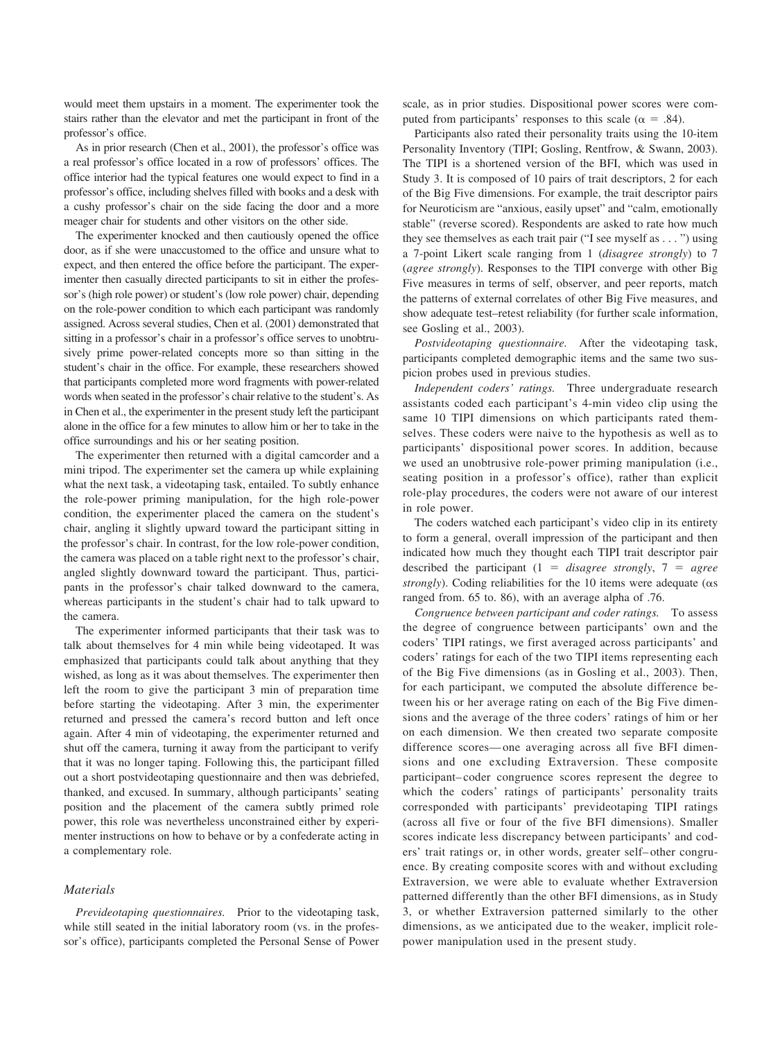would meet them upstairs in a moment. The experimenter took the stairs rather than the elevator and met the participant in front of the professor's office.

As in prior research (Chen et al., 2001), the professor's office was a real professor's office located in a row of professors' offices. The office interior had the typical features one would expect to find in a professor's office, including shelves filled with books and a desk with a cushy professor's chair on the side facing the door and a more meager chair for students and other visitors on the other side.

The experimenter knocked and then cautiously opened the office door, as if she were unaccustomed to the office and unsure what to expect, and then entered the office before the participant. The experimenter then casually directed participants to sit in either the professor's (high role power) or student's (low role power) chair, depending on the role-power condition to which each participant was randomly assigned. Across several studies, Chen et al. (2001) demonstrated that sitting in a professor's chair in a professor's office serves to unobtrusively prime power-related concepts more so than sitting in the student's chair in the office. For example, these researchers showed that participants completed more word fragments with power-related words when seated in the professor's chair relative to the student's. As in Chen et al., the experimenter in the present study left the participant alone in the office for a few minutes to allow him or her to take in the office surroundings and his or her seating position.

The experimenter then returned with a digital camcorder and a mini tripod. The experimenter set the camera up while explaining what the next task, a videotaping task, entailed. To subtly enhance the role-power priming manipulation, for the high role-power condition, the experimenter placed the camera on the student's chair, angling it slightly upward toward the participant sitting in the professor's chair. In contrast, for the low role-power condition, the camera was placed on a table right next to the professor's chair, angled slightly downward toward the participant. Thus, participants in the professor's chair talked downward to the camera, whereas participants in the student's chair had to talk upward to the camera.

The experimenter informed participants that their task was to talk about themselves for 4 min while being videotaped. It was emphasized that participants could talk about anything that they wished, as long as it was about themselves. The experimenter then left the room to give the participant 3 min of preparation time before starting the videotaping. After 3 min, the experimenter returned and pressed the camera's record button and left once again. After 4 min of videotaping, the experimenter returned and shut off the camera, turning it away from the participant to verify that it was no longer taping. Following this, the participant filled out a short postvideotaping questionnaire and then was debriefed, thanked, and excused. In summary, although participants' seating position and the placement of the camera subtly primed role power, this role was nevertheless unconstrained either by experimenter instructions on how to behave or by a confederate acting in a complementary role.

# *Materials*

*Prevideotaping questionnaires.* Prior to the videotaping task, while still seated in the initial laboratory room (vs. in the professor's office), participants completed the Personal Sense of Power scale, as in prior studies. Dispositional power scores were computed from participants' responses to this scale ( $\alpha = .84$ ).

Participants also rated their personality traits using the 10-item Personality Inventory (TIPI; Gosling, Rentfrow, & Swann, 2003). The TIPI is a shortened version of the BFI, which was used in Study 3. It is composed of 10 pairs of trait descriptors, 2 for each of the Big Five dimensions. For example, the trait descriptor pairs for Neuroticism are "anxious, easily upset" and "calm, emotionally stable" (reverse scored). Respondents are asked to rate how much they see themselves as each trait pair ("I see myself as . . . ") using a 7-point Likert scale ranging from 1 (*disagree strongly*) to 7 (*agree strongly*). Responses to the TIPI converge with other Big Five measures in terms of self, observer, and peer reports, match the patterns of external correlates of other Big Five measures, and show adequate test–retest reliability (for further scale information, see Gosling et al., 2003).

*Postvideotaping questionnaire.* After the videotaping task, participants completed demographic items and the same two suspicion probes used in previous studies.

*Independent coders' ratings.* Three undergraduate research assistants coded each participant's 4-min video clip using the same 10 TIPI dimensions on which participants rated themselves. These coders were naive to the hypothesis as well as to participants' dispositional power scores. In addition, because we used an unobtrusive role-power priming manipulation (i.e., seating position in a professor's office), rather than explicit role-play procedures, the coders were not aware of our interest in role power.

The coders watched each participant's video clip in its entirety to form a general, overall impression of the participant and then indicated how much they thought each TIPI trait descriptor pair described the participant  $(1 - \text{disagree strongly}, 7 - \text{agree})$ *strongly*). Coding reliabilities for the 10 items were adequate ( $\alpha s$ ranged from. 65 to. 86), with an average alpha of .76.

*Congruence between participant and coder ratings.* To assess the degree of congruence between participants' own and the coders' TIPI ratings, we first averaged across participants' and coders' ratings for each of the two TIPI items representing each of the Big Five dimensions (as in Gosling et al., 2003). Then, for each participant, we computed the absolute difference between his or her average rating on each of the Big Five dimensions and the average of the three coders' ratings of him or her on each dimension. We then created two separate composite difference scores— one averaging across all five BFI dimensions and one excluding Extraversion. These composite participant– coder congruence scores represent the degree to which the coders' ratings of participants' personality traits corresponded with participants' prevideotaping TIPI ratings (across all five or four of the five BFI dimensions). Smaller scores indicate less discrepancy between participants' and coders' trait ratings or, in other words, greater self– other congruence. By creating composite scores with and without excluding Extraversion, we were able to evaluate whether Extraversion patterned differently than the other BFI dimensions, as in Study 3, or whether Extraversion patterned similarly to the other dimensions, as we anticipated due to the weaker, implicit rolepower manipulation used in the present study.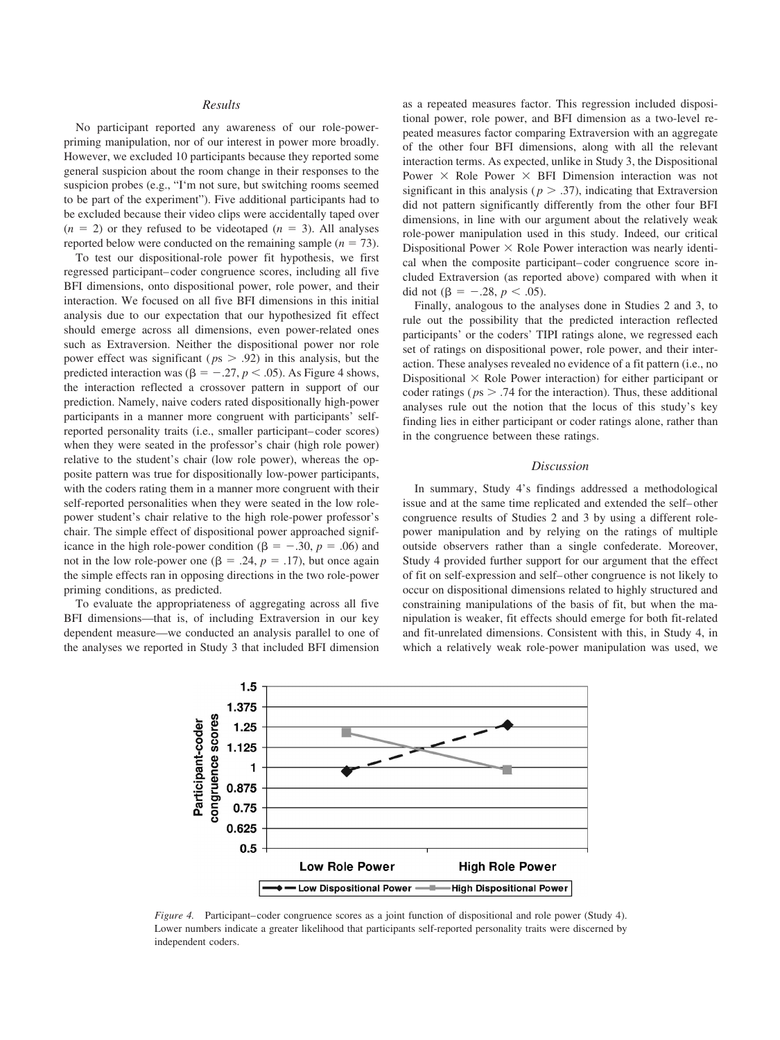## *Results*

No participant reported any awareness of our role-powerpriming manipulation, nor of our interest in power more broadly. However, we excluded 10 participants because they reported some general suspicion about the room change in their responses to the suspicion probes (e.g., "I'm not sure, but switching rooms seemed to be part of the experiment"). Five additional participants had to be excluded because their video clips were accidentally taped over  $(n = 2)$  or they refused to be videotaped  $(n = 3)$ . All analyses reported below were conducted on the remaining sample  $(n = 73)$ .

To test our dispositional-role power fit hypothesis, we first regressed participant– coder congruence scores, including all five BFI dimensions, onto dispositional power, role power, and their interaction. We focused on all five BFI dimensions in this initial analysis due to our expectation that our hypothesized fit effect should emerge across all dimensions, even power-related ones such as Extraversion. Neither the dispositional power nor role power effect was significant ( $p_s$  > .92) in this analysis, but the predicted interaction was ( $\beta = -.27, p < .05$ ). As Figure 4 shows, the interaction reflected a crossover pattern in support of our prediction. Namely, naive coders rated dispositionally high-power participants in a manner more congruent with participants' selfreported personality traits (i.e., smaller participant– coder scores) when they were seated in the professor's chair (high role power) relative to the student's chair (low role power), whereas the opposite pattern was true for dispositionally low-power participants, with the coders rating them in a manner more congruent with their self-reported personalities when they were seated in the low rolepower student's chair relative to the high role-power professor's chair. The simple effect of dispositional power approached significance in the high role-power condition ( $\beta = -.30, p = .06$ ) and not in the low role-power one ( $\beta = .24$ ,  $p = .17$ ), but once again the simple effects ran in opposing directions in the two role-power priming conditions, as predicted.

To evaluate the appropriateness of aggregating across all five BFI dimensions—that is, of including Extraversion in our key dependent measure—we conducted an analysis parallel to one of the analyses we reported in Study 3 that included BFI dimension as a repeated measures factor. This regression included dispositional power, role power, and BFI dimension as a two-level repeated measures factor comparing Extraversion with an aggregate of the other four BFI dimensions, along with all the relevant interaction terms. As expected, unlike in Study 3, the Dispositional Power  $\times$  Role Power  $\times$  BFI Dimension interaction was not significant in this analysis ( $p > .37$ ), indicating that Extraversion did not pattern significantly differently from the other four BFI dimensions, in line with our argument about the relatively weak role-power manipulation used in this study. Indeed, our critical Dispositional Power  $\times$  Role Power interaction was nearly identical when the composite participant– coder congruence score included Extraversion (as reported above) compared with when it did not ( $\beta = -.28, p < .05$ ).

Finally, analogous to the analyses done in Studies 2 and 3, to rule out the possibility that the predicted interaction reflected participants' or the coders' TIPI ratings alone, we regressed each set of ratings on dispositional power, role power, and their interaction. These analyses revealed no evidence of a fit pattern (i.e., no Dispositional  $\times$  Role Power interaction) for either participant or coder ratings ( $p_s$   $>$  .74 for the interaction). Thus, these additional analyses rule out the notion that the locus of this study's key finding lies in either participant or coder ratings alone, rather than in the congruence between these ratings.

#### *Discussion*

In summary, Study 4's findings addressed a methodological issue and at the same time replicated and extended the self– other congruence results of Studies 2 and 3 by using a different rolepower manipulation and by relying on the ratings of multiple outside observers rather than a single confederate. Moreover, Study 4 provided further support for our argument that the effect of fit on self-expression and self– other congruence is not likely to occur on dispositional dimensions related to highly structured and constraining manipulations of the basis of fit, but when the manipulation is weaker, fit effects should emerge for both fit-related and fit-unrelated dimensions. Consistent with this, in Study 4, in which a relatively weak role-power manipulation was used, we



*Figure 4.* Participant–coder congruence scores as a joint function of dispositional and role power (Study 4). Lower numbers indicate a greater likelihood that participants self-reported personality traits were discerned by independent coders.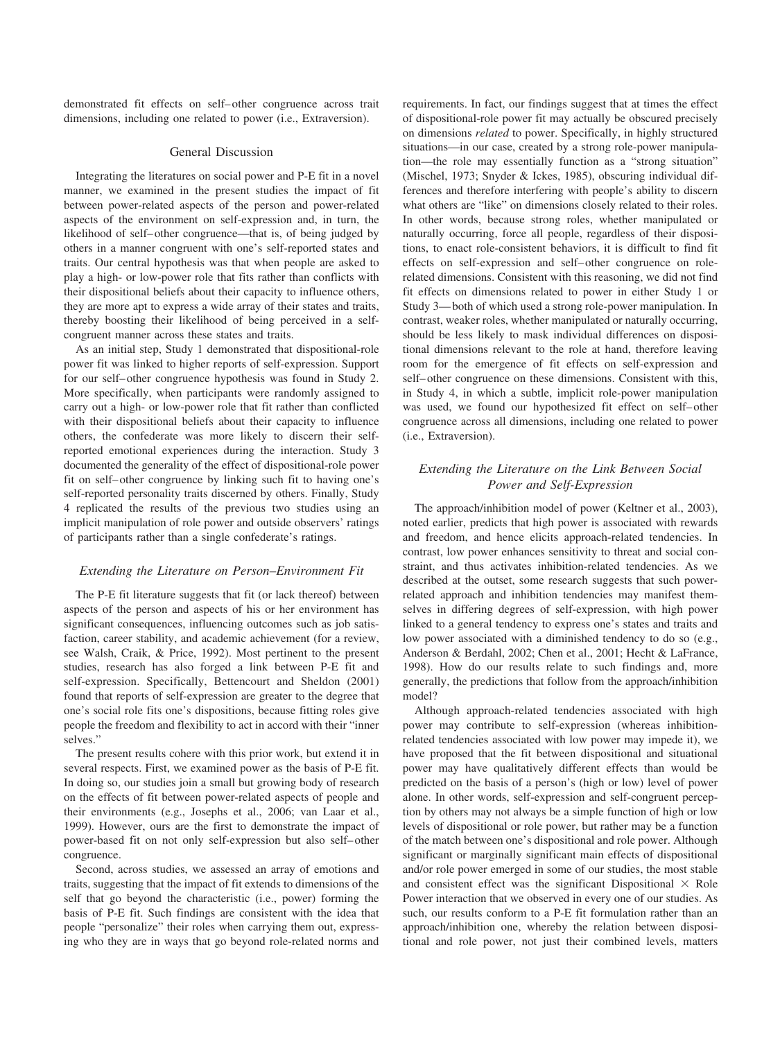demonstrated fit effects on self– other congruence across trait dimensions, including one related to power (i.e., Extraversion).

# General Discussion

Integrating the literatures on social power and P-E fit in a novel manner, we examined in the present studies the impact of fit between power-related aspects of the person and power-related aspects of the environment on self-expression and, in turn, the likelihood of self– other congruence—that is, of being judged by others in a manner congruent with one's self-reported states and traits. Our central hypothesis was that when people are asked to play a high- or low-power role that fits rather than conflicts with their dispositional beliefs about their capacity to influence others, they are more apt to express a wide array of their states and traits, thereby boosting their likelihood of being perceived in a selfcongruent manner across these states and traits.

As an initial step, Study 1 demonstrated that dispositional-role power fit was linked to higher reports of self-expression. Support for our self– other congruence hypothesis was found in Study 2. More specifically, when participants were randomly assigned to carry out a high- or low-power role that fit rather than conflicted with their dispositional beliefs about their capacity to influence others, the confederate was more likely to discern their selfreported emotional experiences during the interaction. Study 3 documented the generality of the effect of dispositional-role power fit on self– other congruence by linking such fit to having one's self-reported personality traits discerned by others. Finally, Study 4 replicated the results of the previous two studies using an implicit manipulation of role power and outside observers' ratings of participants rather than a single confederate's ratings.

# *Extending the Literature on Person–Environment Fit*

The P-E fit literature suggests that fit (or lack thereof) between aspects of the person and aspects of his or her environment has significant consequences, influencing outcomes such as job satisfaction, career stability, and academic achievement (for a review, see Walsh, Craik, & Price, 1992). Most pertinent to the present studies, research has also forged a link between P-E fit and self-expression. Specifically, Bettencourt and Sheldon (2001) found that reports of self-expression are greater to the degree that one's social role fits one's dispositions, because fitting roles give people the freedom and flexibility to act in accord with their "inner selves."

The present results cohere with this prior work, but extend it in several respects. First, we examined power as the basis of P-E fit. In doing so, our studies join a small but growing body of research on the effects of fit between power-related aspects of people and their environments (e.g., Josephs et al., 2006; van Laar et al., 1999). However, ours are the first to demonstrate the impact of power-based fit on not only self-expression but also self– other congruence.

Second, across studies, we assessed an array of emotions and traits, suggesting that the impact of fit extends to dimensions of the self that go beyond the characteristic (i.e., power) forming the basis of P-E fit. Such findings are consistent with the idea that people "personalize" their roles when carrying them out, expressing who they are in ways that go beyond role-related norms and requirements. In fact, our findings suggest that at times the effect of dispositional-role power fit may actually be obscured precisely on dimensions *related* to power. Specifically, in highly structured situations—in our case, created by a strong role-power manipulation—the role may essentially function as a "strong situation" (Mischel, 1973; Snyder & Ickes, 1985), obscuring individual differences and therefore interfering with people's ability to discern what others are "like" on dimensions closely related to their roles. In other words, because strong roles, whether manipulated or naturally occurring, force all people, regardless of their dispositions, to enact role-consistent behaviors, it is difficult to find fit effects on self-expression and self– other congruence on rolerelated dimensions. Consistent with this reasoning, we did not find fit effects on dimensions related to power in either Study 1 or Study 3— both of which used a strong role-power manipulation. In contrast, weaker roles, whether manipulated or naturally occurring, should be less likely to mask individual differences on dispositional dimensions relevant to the role at hand, therefore leaving room for the emergence of fit effects on self-expression and self– other congruence on these dimensions. Consistent with this, in Study 4, in which a subtle, implicit role-power manipulation was used, we found our hypothesized fit effect on self-other congruence across all dimensions, including one related to power (i.e., Extraversion).

# *Extending the Literature on the Link Between Social Power and Self-Expression*

The approach/inhibition model of power (Keltner et al., 2003), noted earlier, predicts that high power is associated with rewards and freedom, and hence elicits approach-related tendencies. In contrast, low power enhances sensitivity to threat and social constraint, and thus activates inhibition-related tendencies. As we described at the outset, some research suggests that such powerrelated approach and inhibition tendencies may manifest themselves in differing degrees of self-expression, with high power linked to a general tendency to express one's states and traits and low power associated with a diminished tendency to do so (e.g., Anderson & Berdahl, 2002; Chen et al., 2001; Hecht & LaFrance, 1998). How do our results relate to such findings and, more generally, the predictions that follow from the approach/inhibition model?

Although approach-related tendencies associated with high power may contribute to self-expression (whereas inhibitionrelated tendencies associated with low power may impede it), we have proposed that the fit between dispositional and situational power may have qualitatively different effects than would be predicted on the basis of a person's (high or low) level of power alone. In other words, self-expression and self-congruent perception by others may not always be a simple function of high or low levels of dispositional or role power, but rather may be a function of the match between one's dispositional and role power. Although significant or marginally significant main effects of dispositional and/or role power emerged in some of our studies, the most stable and consistent effect was the significant Dispositional  $\times$  Role Power interaction that we observed in every one of our studies. As such, our results conform to a P-E fit formulation rather than an approach/inhibition one, whereby the relation between dispositional and role power, not just their combined levels, matters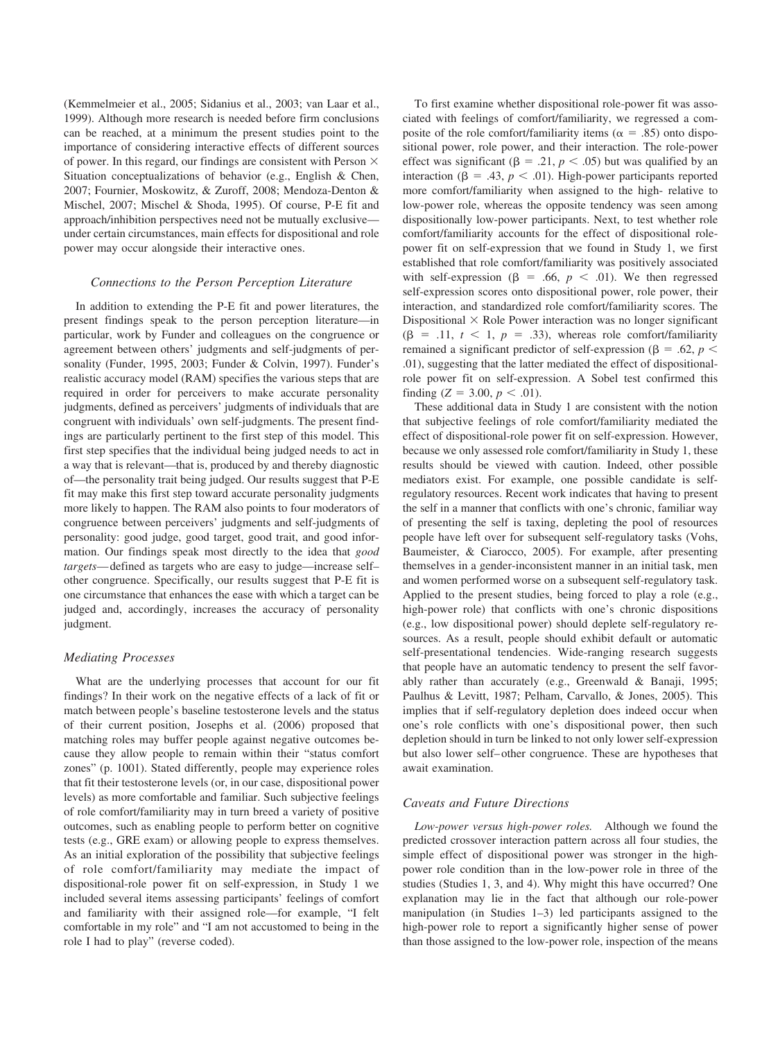(Kemmelmeier et al., 2005; Sidanius et al., 2003; van Laar et al., 1999). Although more research is needed before firm conclusions can be reached, at a minimum the present studies point to the importance of considering interactive effects of different sources of power. In this regard, our findings are consistent with Person  $\times$ Situation conceptualizations of behavior (e.g., English & Chen, 2007; Fournier, Moskowitz, & Zuroff, 2008; Mendoza-Denton & Mischel, 2007; Mischel & Shoda, 1995). Of course, P-E fit and approach/inhibition perspectives need not be mutually exclusive under certain circumstances, main effects for dispositional and role power may occur alongside their interactive ones.

# *Connections to the Person Perception Literature*

In addition to extending the P-E fit and power literatures, the present findings speak to the person perception literature—in particular, work by Funder and colleagues on the congruence or agreement between others' judgments and self-judgments of personality (Funder, 1995, 2003; Funder & Colvin, 1997). Funder's realistic accuracy model (RAM) specifies the various steps that are required in order for perceivers to make accurate personality judgments, defined as perceivers' judgments of individuals that are congruent with individuals' own self-judgments. The present findings are particularly pertinent to the first step of this model. This first step specifies that the individual being judged needs to act in a way that is relevant—that is, produced by and thereby diagnostic of—the personality trait being judged. Our results suggest that P-E fit may make this first step toward accurate personality judgments more likely to happen. The RAM also points to four moderators of congruence between perceivers' judgments and self-judgments of personality: good judge, good target, good trait, and good information. Our findings speak most directly to the idea that *good targets*— defined as targets who are easy to judge—increase self– other congruence. Specifically, our results suggest that P-E fit is one circumstance that enhances the ease with which a target can be judged and, accordingly, increases the accuracy of personality judgment.

# *Mediating Processes*

What are the underlying processes that account for our fit findings? In their work on the negative effects of a lack of fit or match between people's baseline testosterone levels and the status of their current position, Josephs et al. (2006) proposed that matching roles may buffer people against negative outcomes because they allow people to remain within their "status comfort zones" (p. 1001). Stated differently, people may experience roles that fit their testosterone levels (or, in our case, dispositional power levels) as more comfortable and familiar. Such subjective feelings of role comfort/familiarity may in turn breed a variety of positive outcomes, such as enabling people to perform better on cognitive tests (e.g., GRE exam) or allowing people to express themselves. As an initial exploration of the possibility that subjective feelings of role comfort/familiarity may mediate the impact of dispositional-role power fit on self-expression, in Study 1 we included several items assessing participants' feelings of comfort and familiarity with their assigned role—for example, "I felt comfortable in my role" and "I am not accustomed to being in the role I had to play" (reverse coded).

To first examine whether dispositional role-power fit was associated with feelings of comfort/familiarity, we regressed a composite of the role comfort/familiarity items ( $\alpha = .85$ ) onto dispositional power, role power, and their interaction. The role-power effect was significant ( $\beta = .21$ ,  $p < .05$ ) but was qualified by an interaction ( $\beta = .43$ ,  $p < .01$ ). High-power participants reported more comfort/familiarity when assigned to the high- relative to low-power role, whereas the opposite tendency was seen among dispositionally low-power participants. Next, to test whether role comfort/familiarity accounts for the effect of dispositional rolepower fit on self-expression that we found in Study 1, we first established that role comfort/familiarity was positively associated with self-expression ( $\beta = .66, p < .01$ ). We then regressed self-expression scores onto dispositional power, role power, their interaction, and standardized role comfort/familiarity scores. The Dispositional  $\times$  Role Power interaction was no longer significant  $(\beta = .11, t < 1, p = .33)$ , whereas role comfort/familiarity remained a significant predictor of self-expression ( $\beta = .62$ ,  $p <$ .01), suggesting that the latter mediated the effect of dispositionalrole power fit on self-expression. A Sobel test confirmed this finding  $(Z = 3.00, p < .01)$ .

These additional data in Study 1 are consistent with the notion that subjective feelings of role comfort/familiarity mediated the effect of dispositional-role power fit on self-expression. However, because we only assessed role comfort/familiarity in Study 1, these results should be viewed with caution. Indeed, other possible mediators exist. For example, one possible candidate is selfregulatory resources. Recent work indicates that having to present the self in a manner that conflicts with one's chronic, familiar way of presenting the self is taxing, depleting the pool of resources people have left over for subsequent self-regulatory tasks (Vohs, Baumeister, & Ciarocco, 2005). For example, after presenting themselves in a gender-inconsistent manner in an initial task, men and women performed worse on a subsequent self-regulatory task. Applied to the present studies, being forced to play a role (e.g., high-power role) that conflicts with one's chronic dispositions (e.g., low dispositional power) should deplete self-regulatory resources. As a result, people should exhibit default or automatic self-presentational tendencies. Wide-ranging research suggests that people have an automatic tendency to present the self favorably rather than accurately (e.g., Greenwald & Banaji, 1995; Paulhus & Levitt, 1987; Pelham, Carvallo, & Jones, 2005). This implies that if self-regulatory depletion does indeed occur when one's role conflicts with one's dispositional power, then such depletion should in turn be linked to not only lower self-expression but also lower self– other congruence. These are hypotheses that await examination.

# *Caveats and Future Directions*

*Low-power versus high-power roles.* Although we found the predicted crossover interaction pattern across all four studies, the simple effect of dispositional power was stronger in the highpower role condition than in the low-power role in three of the studies (Studies 1, 3, and 4). Why might this have occurred? One explanation may lie in the fact that although our role-power manipulation (in Studies 1–3) led participants assigned to the high-power role to report a significantly higher sense of power than those assigned to the low-power role, inspection of the means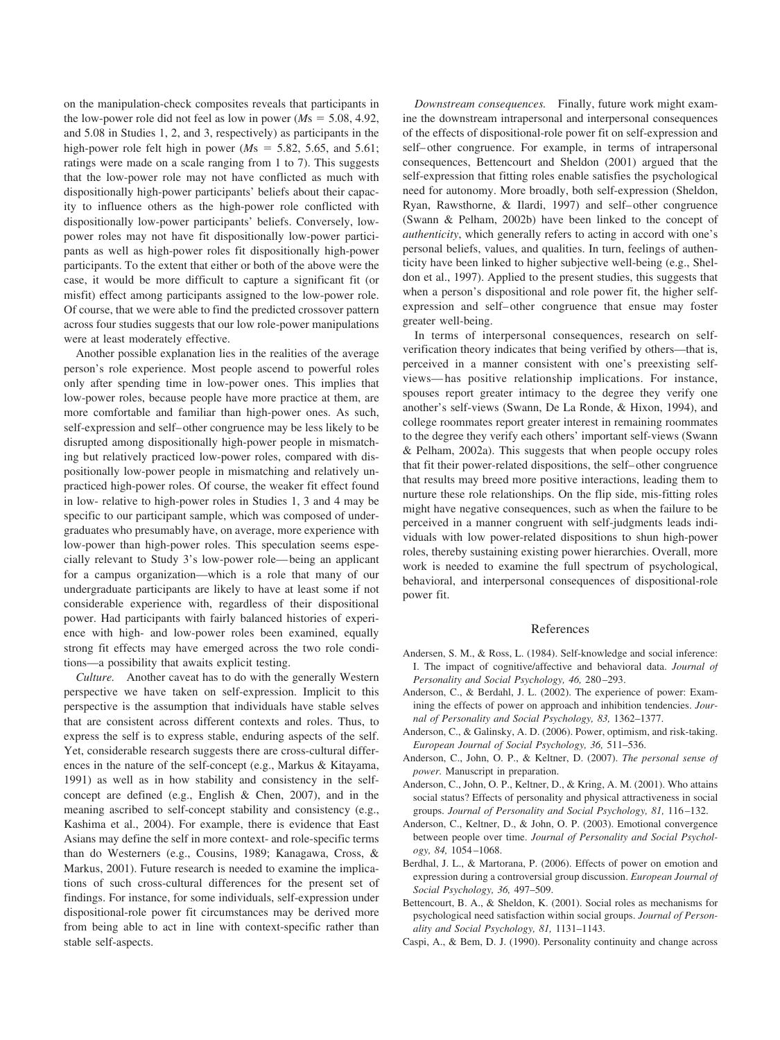on the manipulation-check composites reveals that participants in the low-power role did not feel as low in power  $(Ms = 5.08, 4.92,$ and 5.08 in Studies 1, 2, and 3, respectively) as participants in the high-power role felt high in power ( $Ms = 5.82, 5.65$ , and 5.61; ratings were made on a scale ranging from 1 to 7). This suggests that the low-power role may not have conflicted as much with dispositionally high-power participants' beliefs about their capacity to influence others as the high-power role conflicted with dispositionally low-power participants' beliefs. Conversely, lowpower roles may not have fit dispositionally low-power participants as well as high-power roles fit dispositionally high-power participants. To the extent that either or both of the above were the case, it would be more difficult to capture a significant fit (or misfit) effect among participants assigned to the low-power role. Of course, that we were able to find the predicted crossover pattern across four studies suggests that our low role-power manipulations were at least moderately effective.

Another possible explanation lies in the realities of the average person's role experience. Most people ascend to powerful roles only after spending time in low-power ones. This implies that low-power roles, because people have more practice at them, are more comfortable and familiar than high-power ones. As such, self-expression and self– other congruence may be less likely to be disrupted among dispositionally high-power people in mismatching but relatively practiced low-power roles, compared with dispositionally low-power people in mismatching and relatively unpracticed high-power roles. Of course, the weaker fit effect found in low- relative to high-power roles in Studies 1, 3 and 4 may be specific to our participant sample, which was composed of undergraduates who presumably have, on average, more experience with low-power than high-power roles. This speculation seems especially relevant to Study 3's low-power role— being an applicant for a campus organization—which is a role that many of our undergraduate participants are likely to have at least some if not considerable experience with, regardless of their dispositional power. Had participants with fairly balanced histories of experience with high- and low-power roles been examined, equally strong fit effects may have emerged across the two role conditions—a possibility that awaits explicit testing.

*Culture.* Another caveat has to do with the generally Western perspective we have taken on self-expression. Implicit to this perspective is the assumption that individuals have stable selves that are consistent across different contexts and roles. Thus, to express the self is to express stable, enduring aspects of the self. Yet, considerable research suggests there are cross-cultural differences in the nature of the self-concept (e.g., Markus & Kitayama, 1991) as well as in how stability and consistency in the selfconcept are defined (e.g., English & Chen, 2007), and in the meaning ascribed to self-concept stability and consistency (e.g., Kashima et al., 2004). For example, there is evidence that East Asians may define the self in more context- and role-specific terms than do Westerners (e.g., Cousins, 1989; Kanagawa, Cross, & Markus, 2001). Future research is needed to examine the implications of such cross-cultural differences for the present set of findings. For instance, for some individuals, self-expression under dispositional-role power fit circumstances may be derived more from being able to act in line with context-specific rather than stable self-aspects.

*Downstream consequences.* Finally, future work might examine the downstream intrapersonal and interpersonal consequences of the effects of dispositional-role power fit on self-expression and self– other congruence. For example, in terms of intrapersonal consequences, Bettencourt and Sheldon (2001) argued that the self-expression that fitting roles enable satisfies the psychological need for autonomy. More broadly, both self-expression (Sheldon, Ryan, Rawsthorne, & Ilardi, 1997) and self– other congruence (Swann & Pelham, 2002b) have been linked to the concept of *authenticity*, which generally refers to acting in accord with one's personal beliefs, values, and qualities. In turn, feelings of authenticity have been linked to higher subjective well-being (e.g., Sheldon et al., 1997). Applied to the present studies, this suggests that when a person's dispositional and role power fit, the higher selfexpression and self– other congruence that ensue may foster greater well-being.

In terms of interpersonal consequences, research on selfverification theory indicates that being verified by others—that is, perceived in a manner consistent with one's preexisting selfviews— has positive relationship implications. For instance, spouses report greater intimacy to the degree they verify one another's self-views (Swann, De La Ronde, & Hixon, 1994), and college roommates report greater interest in remaining roommates to the degree they verify each others' important self-views (Swann & Pelham, 2002a). This suggests that when people occupy roles that fit their power-related dispositions, the self– other congruence that results may breed more positive interactions, leading them to nurture these role relationships. On the flip side, mis-fitting roles might have negative consequences, such as when the failure to be perceived in a manner congruent with self-judgments leads individuals with low power-related dispositions to shun high-power roles, thereby sustaining existing power hierarchies. Overall, more work is needed to examine the full spectrum of psychological, behavioral, and interpersonal consequences of dispositional-role power fit.

# References

- Andersen, S. M., & Ross, L. (1984). Self-knowledge and social inference: I. The impact of cognitive/affective and behavioral data. *Journal of Personality and Social Psychology, 46,* 280 –293.
- Anderson, C., & Berdahl, J. L. (2002). The experience of power: Examining the effects of power on approach and inhibition tendencies. *Journal of Personality and Social Psychology, 83,* 1362–1377.
- Anderson, C., & Galinsky, A. D. (2006). Power, optimism, and risk-taking. *European Journal of Social Psychology, 36,* 511–536.
- Anderson, C., John, O. P., & Keltner, D. (2007). *The personal sense of power.* Manuscript in preparation.
- Anderson, C., John, O. P., Keltner, D., & Kring, A. M. (2001). Who attains social status? Effects of personality and physical attractiveness in social groups. *Journal of Personality and Social Psychology, 81,* 116 –132.
- Anderson, C., Keltner, D., & John, O. P. (2003). Emotional convergence between people over time. *Journal of Personality and Social Psychology, 84,* 1054 –1068.
- Berdhal, J. L., & Martorana, P. (2006). Effects of power on emotion and expression during a controversial group discussion. *European Journal of Social Psychology, 36,* 497–509.
- Bettencourt, B. A., & Sheldon, K. (2001). Social roles as mechanisms for psychological need satisfaction within social groups. *Journal of Personality and Social Psychology, 81,* 1131–1143.
- Caspi, A., & Bem, D. J. (1990). Personality continuity and change across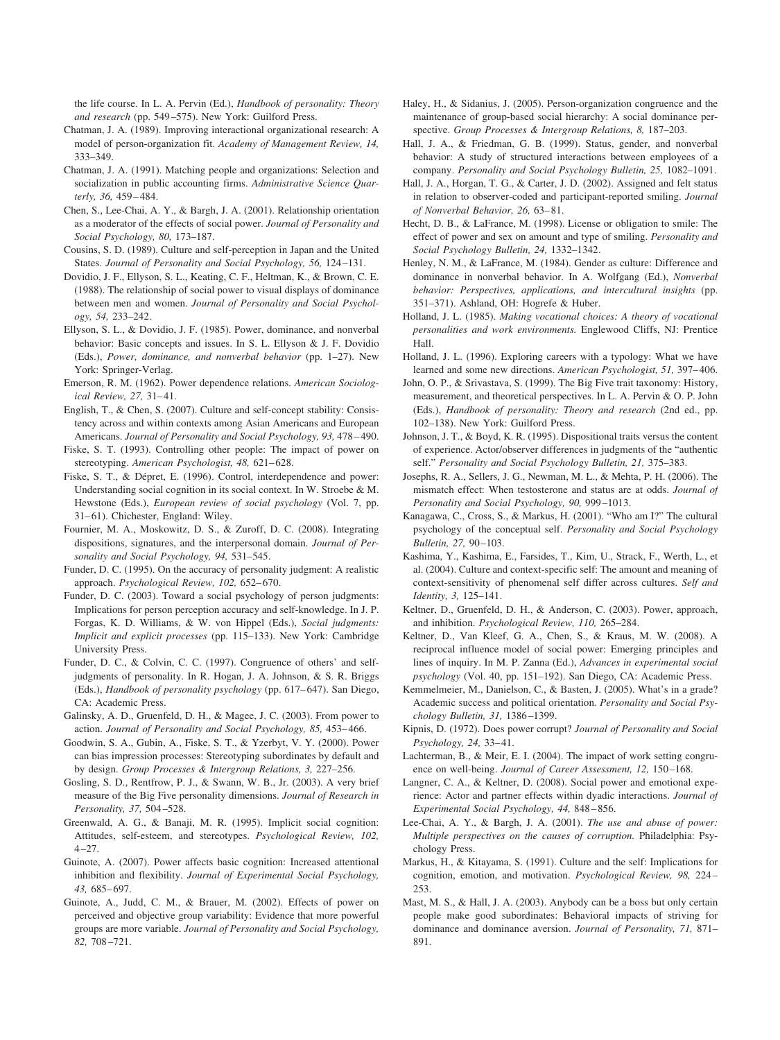the life course. In L. A. Pervin (Ed.), *Handbook of personality: Theory and research* (pp. 549 –575). New York: Guilford Press.

- Chatman, J. A. (1989). Improving interactional organizational research: A model of person-organization fit. *Academy of Management Review, 14,* 333–349.
- Chatman, J. A. (1991). Matching people and organizations: Selection and socialization in public accounting firms. *Administrative Science Quarterly, 36,* 459 – 484.
- Chen, S., Lee-Chai, A. Y., & Bargh, J. A. (2001). Relationship orientation as a moderator of the effects of social power. *Journal of Personality and Social Psychology, 80,* 173–187.
- Cousins, S. D. (1989). Culture and self-perception in Japan and the United States. *Journal of Personality and Social Psychology, 56,* 124 –131.
- Dovidio, J. F., Ellyson, S. L., Keating, C. F., Heltman, K., & Brown, C. E. (1988). The relationship of social power to visual displays of dominance between men and women. *Journal of Personality and Social Psychology, 54,* 233–242.
- Ellyson, S. L., & Dovidio, J. F. (1985). Power, dominance, and nonverbal behavior: Basic concepts and issues. In S. L. Ellyson & J. F. Dovidio (Eds.), *Power, dominance, and nonverbal behavior* (pp. 1–27). New York: Springer-Verlag.
- Emerson, R. M. (1962). Power dependence relations. *American Sociological Review, 27,* 31– 41.
- English, T., & Chen, S. (2007). Culture and self-concept stability: Consistency across and within contexts among Asian Americans and European Americans. *Journal of Personality and Social Psychology, 93,* 478 – 490.
- Fiske, S. T. (1993). Controlling other people: The impact of power on stereotyping. American Psychologist, 48, 621-628.
- Fiske, S. T., & Dépret, E. (1996). Control, interdependence and power: Understanding social cognition in its social context. In W. Stroebe & M. Hewstone (Eds.), *European review of social psychology* (Vol. 7, pp. 31– 61). Chichester, England: Wiley.
- Fournier, M. A., Moskowitz, D. S., & Zuroff, D. C. (2008). Integrating dispositions, signatures, and the interpersonal domain. *Journal of Personality and Social Psychology, 94,* 531–545.
- Funder, D. C. (1995). On the accuracy of personality judgment: A realistic approach. *Psychological Review, 102,* 652– 670.
- Funder, D. C. (2003). Toward a social psychology of person judgments: Implications for person perception accuracy and self-knowledge. In J. P. Forgas, K. D. Williams, & W. von Hippel (Eds.), *Social judgments: Implicit and explicit processes* (pp. 115–133). New York: Cambridge University Press.
- Funder, D. C., & Colvin, C. C. (1997). Congruence of others' and selfjudgments of personality. In R. Hogan, J. A. Johnson, & S. R. Briggs (Eds.), *Handbook of personality psychology* (pp. 617– 647). San Diego, CA: Academic Press.
- Galinsky, A. D., Gruenfeld, D. H., & Magee, J. C. (2003). From power to action. *Journal of Personality and Social Psychology, 85,* 453– 466.
- Goodwin, S. A., Gubin, A., Fiske, S. T., & Yzerbyt, V. Y. (2000). Power can bias impression processes: Stereotyping subordinates by default and by design. *Group Processes & Intergroup Relations, 3,* 227–256.
- Gosling, S. D., Rentfrow, P. J., & Swann, W. B., Jr. (2003). A very brief measure of the Big Five personality dimensions. *Journal of Research in Personality, 37,* 504 –528.
- Greenwald, A. G., & Banaji, M. R. (1995). Implicit social cognition: Attitudes, self-esteem, and stereotypes. *Psychological Review, 102,*  $4 - 27$ .
- Guinote, A. (2007). Power affects basic cognition: Increased attentional inhibition and flexibility. *Journal of Experimental Social Psychology, 43,* 685– 697.
- Guinote, A., Judd, C. M., & Brauer, M. (2002). Effects of power on perceived and objective group variability: Evidence that more powerful groups are more variable. *Journal of Personality and Social Psychology, 82,* 708 –721.
- Haley, H., & Sidanius, J. (2005). Person-organization congruence and the maintenance of group-based social hierarchy: A social dominance perspective. *Group Processes & Intergroup Relations, 8,* 187–203.
- Hall, J. A., & Friedman, G. B. (1999). Status, gender, and nonverbal behavior: A study of structured interactions between employees of a company. *Personality and Social Psychology Bulletin, 25,* 1082–1091.
- Hall, J. A., Horgan, T. G., & Carter, J. D. (2002). Assigned and felt status in relation to observer-coded and participant-reported smiling. *Journal of Nonverbal Behavior, 26,* 63– 81.
- Hecht, D. B., & LaFrance, M. (1998). License or obligation to smile: The effect of power and sex on amount and type of smiling. *Personality and Social Psychology Bulletin, 24,* 1332–1342.
- Henley, N. M., & LaFrance, M. (1984). Gender as culture: Difference and dominance in nonverbal behavior. In A. Wolfgang (Ed.), *Nonverbal behavior: Perspectives, applications, and intercultural insights* (pp. 351–371). Ashland, OH: Hogrefe & Huber.
- Holland, J. L. (1985). *Making vocational choices: A theory of vocational personalities and work environments.* Englewood Cliffs, NJ: Prentice Hall.
- Holland, J. L. (1996). Exploring careers with a typology: What we have learned and some new directions. *American Psychologist*, 51, 397-406.
- John, O. P., & Srivastava, S. (1999). The Big Five trait taxonomy: History, measurement, and theoretical perspectives. In L. A. Pervin & O. P. John (Eds.), *Handbook of personality: Theory and research* (2nd ed., pp. 102–138). New York: Guilford Press.
- Johnson, J. T., & Boyd, K. R. (1995). Dispositional traits versus the content of experience. Actor/observer differences in judgments of the "authentic self." *Personality and Social Psychology Bulletin, 21,* 375–383.
- Josephs, R. A., Sellers, J. G., Newman, M. L., & Mehta, P. H. (2006). The mismatch effect: When testosterone and status are at odds. *Journal of Personality and Social Psychology, 90,* 999 –1013.
- Kanagawa, C., Cross, S., & Markus, H. (2001). "Who am I?" The cultural psychology of the conceptual self. *Personality and Social Psychology Bulletin, 27,* 90 –103.
- Kashima, Y., Kashima, E., Farsides, T., Kim, U., Strack, F., Werth, L., et al. (2004). Culture and context-specific self: The amount and meaning of context-sensitivity of phenomenal self differ across cultures. *Self and Identity, 3,* 125–141.
- Keltner, D., Gruenfeld, D. H., & Anderson, C. (2003). Power, approach, and inhibition. *Psychological Review, 110,* 265–284.
- Keltner, D., Van Kleef, G. A., Chen, S., & Kraus, M. W. (2008). A reciprocal influence model of social power: Emerging principles and lines of inquiry. In M. P. Zanna (Ed.), *Advances in experimental social psychology* (Vol. 40, pp. 151–192). San Diego, CA: Academic Press.
- Kemmelmeier, M., Danielson, C., & Basten, J. (2005). What's in a grade? Academic success and political orientation. *Personality and Social Psychology Bulletin, 31,* 1386 –1399.
- Kipnis, D. (1972). Does power corrupt? *Journal of Personality and Social Psychology, 24,* 33– 41.
- Lachterman, B., & Meir, E. I. (2004). The impact of work setting congruence on well-being. *Journal of Career Assessment, 12, 150-168*.
- Langner, C. A., & Keltner, D. (2008). Social power and emotional experience: Actor and partner effects within dyadic interactions. *Journal of Experimental Social Psychology, 44,* 848 – 856.
- Lee-Chai, A. Y., & Bargh, J. A. (2001). *The use and abuse of power: Multiple perspectives on the causes of corruption.* Philadelphia: Psychology Press.
- Markus, H., & Kitayama, S. (1991). Culture and the self: Implications for cognition, emotion, and motivation. *Psychological Review, 98,* 224 – 253.
- Mast, M. S., & Hall, J. A. (2003). Anybody can be a boss but only certain people make good subordinates: Behavioral impacts of striving for dominance and dominance aversion. *Journal of Personality, 71,* 871– 891.